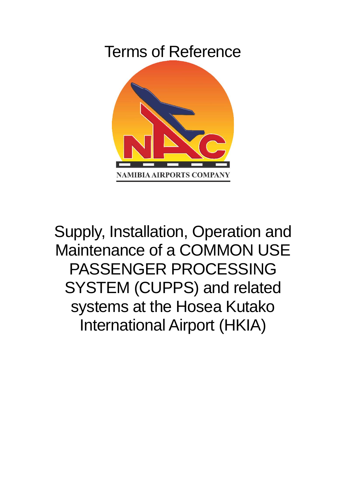# Terms of Reference



Supply, Installation, Operation and Maintenance of a COMMON USE PASSENGER PROCESSING SYSTEM (CUPPS) and related systems at the Hosea Kutako International Airport (HKIA)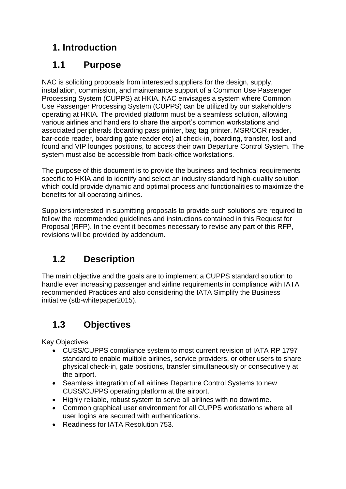# **1. Introduction**

# **1.1 Purpose**

NAC is soliciting proposals from interested suppliers for the design, supply, installation, commission, and maintenance support of a Common Use Passenger Processing System (CUPPS) at HKIA. NAC envisages a system where Common Use Passenger Processing System (CUPPS) can be utilized by our stakeholders operating at HKIA. The provided platform must be a seamless solution, allowing various airlines and handlers to share the airport's common workstations and associated peripherals (boarding pass printer, bag tag printer, MSR/OCR reader, bar-code reader, boarding gate reader etc) at check-in, boarding, transfer, lost and found and VIP lounges positions, to access their own Departure Control System. The system must also be accessible from back-office workstations.

The purpose of this document is to provide the business and technical requirements specific to HKIA and to identify and select an industry standard high-quality solution which could provide dynamic and optimal process and functionalities to maximize the benefits for all operating airlines.

Suppliers interested in submitting proposals to provide such solutions are required to follow the recommended guidelines and instructions contained in this Request for Proposal (RFP). In the event it becomes necessary to revise any part of this RFP, revisions will be provided by addendum.

# **1.2 Description**

The main objective and the goals are to implement a CUPPS standard solution to handle ever increasing passenger and airline requirements in compliance with IATA recommended Practices and also considering the IATA Simplify the Business initiative (stb-whitepaper2015).

# **1.3 Objectives**

Key Objectives

- CUSS/CUPPS compliance system to most current revision of IATA RP 1797 standard to enable multiple airlines, service providers, or other users to share physical check-in, gate positions, transfer simultaneously or consecutively at the airport.
- Seamless integration of all airlines Departure Control Systems to new CUSS/CUPPS operating platform at the airport.
- Highly reliable, robust system to serve all airlines with no downtime.
- Common graphical user environment for all CUPPS workstations where all user logins are secured with authentications.
- Readiness for IATA Resolution 753.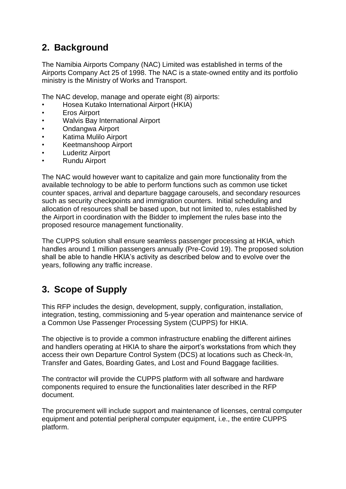# **2. Background**

The Namibia Airports Company (NAC) Limited was established in terms of the Airports Company Act 25 of 1998. The NAC is a state-owned entity and its portfolio ministry is the Ministry of Works and Transport.

The NAC develop, manage and operate eight (8) airports:

- Hosea Kutako International Airport (HKIA)
- Eros Airport
- Walvis Bay International Airport
- Ondangwa Airport
- Katima Mulilo Airport
- Keetmanshoop Airport
- Luderitz Airport
- Rundu Airport

The NAC would however want to capitalize and gain more functionality from the available technology to be able to perform functions such as common use ticket counter spaces, arrival and departure baggage carousels, and secondary resources such as security checkpoints and immigration counters. Initial scheduling and allocation of resources shall be based upon, but not limited to, rules established by the Airport in coordination with the Bidder to implement the rules base into the proposed resource management functionality.

The CUPPS solution shall ensure seamless passenger processing at HKIA, which handles around 1 million passengers annually (Pre-Covid 19). The proposed solution shall be able to handle HKIA's activity as described below and to evolve over the years, following any traffic increase.

### **3. Scope of Supply**

This RFP includes the design, development, supply, configuration, installation, integration, testing, commissioning and 5-year operation and maintenance service of a Common Use Passenger Processing System (CUPPS) for HKIA.

The objective is to provide a common infrastructure enabling the different airlines and handlers operating at HKIA to share the airport's workstations from which they access their own Departure Control System (DCS) at locations such as Check-In, Transfer and Gates, Boarding Gates, and Lost and Found Baggage facilities.

The contractor will provide the CUPPS platform with all software and hardware components required to ensure the functionalities later described in the RFP document.

The procurement will include support and maintenance of licenses, central computer equipment and potential peripheral computer equipment, i.e., the entire CUPPS platform.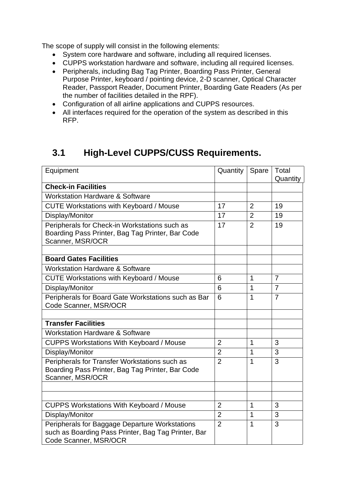The scope of supply will consist in the following elements:

- System core hardware and software, including all required licenses.
- CUPPS workstation hardware and software, including all required licenses.
- Peripherals, including Bag Tag Printer, Boarding Pass Printer, General Purpose Printer, keyboard / pointing device, 2-D scanner, Optical Character Reader, Passport Reader, Document Printer, Boarding Gate Readers (As per the number of facilities detailed in the RPF).
- Configuration of all airline applications and CUPPS resources.
- All interfaces required for the operation of the system as described in this RFP.

# **3.1 High-Level CUPPS/CUSS Requirements.**

| Equipment                                                                                                                      | Quantity       | Spare          | Total          |
|--------------------------------------------------------------------------------------------------------------------------------|----------------|----------------|----------------|
| <b>Check-in Facilities</b>                                                                                                     |                |                | Quantity       |
| <b>Workstation Hardware &amp; Software</b>                                                                                     |                |                |                |
|                                                                                                                                | 17             | $\overline{2}$ | 19             |
| <b>CUTE Workstations with Keyboard / Mouse</b>                                                                                 |                |                |                |
| Display/Monitor                                                                                                                | 17             | $\overline{2}$ | 19             |
| Peripherals for Check-in Workstations such as<br>Boarding Pass Printer, Bag Tag Printer, Bar Code<br>Scanner, MSR/OCR          | 17             | $\overline{2}$ | 19             |
|                                                                                                                                |                |                |                |
| <b>Board Gates Facilities</b>                                                                                                  |                |                |                |
| <b>Workstation Hardware &amp; Software</b>                                                                                     |                |                |                |
| <b>CUTE Workstations with Keyboard / Mouse</b>                                                                                 | 6              | 1              | $\overline{7}$ |
| Display/Monitor                                                                                                                | 6              | 1              | $\overline{7}$ |
| Peripherals for Board Gate Workstations such as Bar<br>Code Scanner, MSR/OCR                                                   | 6              | 1              | $\overline{7}$ |
| <b>Transfer Facilities</b>                                                                                                     |                |                |                |
| <b>Workstation Hardware &amp; Software</b>                                                                                     |                |                |                |
| <b>CUPPS Workstations With Keyboard / Mouse</b>                                                                                | $\overline{2}$ | 1              | 3              |
|                                                                                                                                |                |                | 3              |
| Display/Monitor                                                                                                                | $\overline{2}$ | 1              |                |
| Peripherals for Transfer Workstations such as<br>Boarding Pass Printer, Bag Tag Printer, Bar Code<br>Scanner, MSR/OCR          | $\overline{2}$ | 1              | 3              |
|                                                                                                                                |                |                |                |
|                                                                                                                                |                |                |                |
| <b>CUPPS Workstations With Keyboard / Mouse</b>                                                                                | $\overline{2}$ | 1              | 3              |
| Display/Monitor                                                                                                                | $\overline{2}$ | 1              | 3              |
| Peripherals for Baggage Departure Workstations<br>such as Boarding Pass Printer, Bag Tag Printer, Bar<br>Code Scanner, MSR/OCR | $\overline{2}$ | 1              | 3              |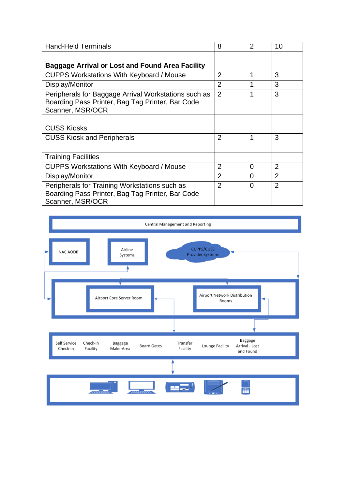| <b>Hand-Held Terminals</b>                                                                                                   | 8              | $\overline{2}$ | 10             |
|------------------------------------------------------------------------------------------------------------------------------|----------------|----------------|----------------|
|                                                                                                                              |                |                |                |
| Baggage Arrival or Lost and Found Area Facility                                                                              |                |                |                |
| <b>CUPPS Workstations With Keyboard / Mouse</b>                                                                              | $\overline{2}$ | 1              | 3              |
| Display/Monitor                                                                                                              | $\overline{2}$ | 1              | 3              |
| Peripherals for Baggage Arrival Workstations such as<br>Boarding Pass Printer, Bag Tag Printer, Bar Code<br>Scanner, MSR/OCR | $\overline{2}$ | 1              | 3              |
|                                                                                                                              |                |                |                |
| <b>CUSS Kiosks</b>                                                                                                           |                |                |                |
| <b>CUSS Kiosk and Peripherals</b>                                                                                            | $\overline{2}$ | 1              | 3              |
|                                                                                                                              |                |                |                |
| <b>Training Facilities</b>                                                                                                   |                |                |                |
| <b>CUPPS Workstations With Keyboard / Mouse</b>                                                                              | $\overline{2}$ | $\overline{0}$ | $\overline{2}$ |
| Display/Monitor                                                                                                              | $\overline{2}$ | 0              | $\overline{2}$ |
| Peripherals for Training Workstations such as<br>Boarding Pass Printer, Bag Tag Printer, Bar Code<br>Scanner, MSR/OCR        | $\overline{2}$ | 0              | $\overline{2}$ |

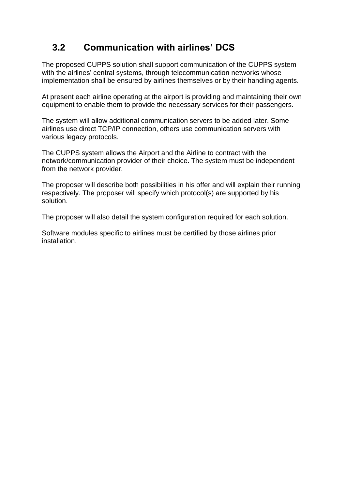# **3.2 Communication with airlines' DCS**

The proposed CUPPS solution shall support communication of the CUPPS system with the airlines' central systems, through telecommunication networks whose implementation shall be ensured by airlines themselves or by their handling agents.

At present each airline operating at the airport is providing and maintaining their own equipment to enable them to provide the necessary services for their passengers.

The system will allow additional communication servers to be added later. Some airlines use direct TCP/IP connection, others use communication servers with various legacy protocols.

The CUPPS system allows the Airport and the Airline to contract with the network/communication provider of their choice. The system must be independent from the network provider.

The proposer will describe both possibilities in his offer and will explain their running respectively. The proposer will specify which protocol(s) are supported by his solution.

The proposer will also detail the system configuration required for each solution.

Software modules specific to airlines must be certified by those airlines prior installation.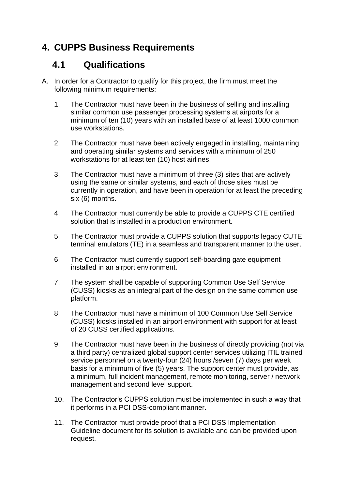# **4. CUPPS Business Requirements**

### **4.1 Qualifications**

- A. In order for a Contractor to qualify for this project, the firm must meet the following minimum requirements:
	- 1. The Contractor must have been in the business of selling and installing similar common use passenger processing systems at airports for a minimum of ten (10) years with an installed base of at least 1000 common use workstations.
	- 2. The Contractor must have been actively engaged in installing, maintaining and operating similar systems and services with a minimum of 250 workstations for at least ten (10) host airlines.
	- 3. The Contractor must have a minimum of three (3) sites that are actively using the same or similar systems, and each of those sites must be currently in operation, and have been in operation for at least the preceding six (6) months.
	- 4. The Contractor must currently be able to provide a CUPPS CTE certified solution that is installed in a production environment.
	- 5. The Contractor must provide a CUPPS solution that supports legacy CUTE terminal emulators (TE) in a seamless and transparent manner to the user.
	- 6. The Contractor must currently support self-boarding gate equipment installed in an airport environment.
	- 7. The system shall be capable of supporting Common Use Self Service (CUSS) kiosks as an integral part of the design on the same common use platform.
	- 8. The Contractor must have a minimum of 100 Common Use Self Service (CUSS) kiosks installed in an airport environment with support for at least of 20 CUSS certified applications.
	- 9. The Contractor must have been in the business of directly providing (not via a third party) centralized global support center services utilizing ITIL trained service personnel on a twenty-four (24) hours /seven (7) days per week basis for a minimum of five (5) years. The support center must provide, as a minimum, full incident management, remote monitoring, server / network management and second level support.
	- 10. The Contractor's CUPPS solution must be implemented in such a way that it performs in a PCI DSS-compliant manner.
	- 11. The Contractor must provide proof that a PCI DSS Implementation Guideline document for its solution is available and can be provided upon request.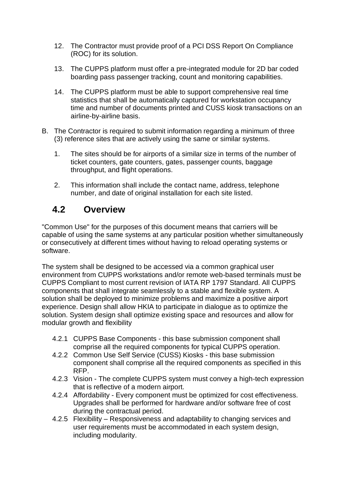- 12. The Contractor must provide proof of a PCI DSS Report On Compliance (ROC) for its solution.
- 13. The CUPPS platform must offer a pre-integrated module for 2D bar coded boarding pass passenger tracking, count and monitoring capabilities.
- 14. The CUPPS platform must be able to support comprehensive real time statistics that shall be automatically captured for workstation occupancy time and number of documents printed and CUSS kiosk transactions on an airline-by-airline basis.
- B. The Contractor is required to submit information regarding a minimum of three (3) reference sites that are actively using the same or similar systems.
	- 1. The sites should be for airports of a similar size in terms of the number of ticket counters, gate counters, gates, passenger counts, baggage throughput, and flight operations.
	- 2. This information shall include the contact name, address, telephone number, and date of original installation for each site listed.

# **4.2 Overview**

"Common Use" for the purposes of this document means that carriers will be capable of using the same systems at any particular position whether simultaneously or consecutively at different times without having to reload operating systems or software.

The system shall be designed to be accessed via a common graphical user environment from CUPPS workstations and/or remote web-based terminals must be CUPPS Compliant to most current revision of IATA RP 1797 Standard. All CUPPS components that shall integrate seamlessly to a stable and flexible system. A solution shall be deployed to minimize problems and maximize a positive airport experience. Design shall allow HKIA to participate in dialogue as to optimize the solution. System design shall optimize existing space and resources and allow for modular growth and flexibility

- 4.2.1 CUPPS Base Components this base submission component shall comprise all the required components for typical CUPPS operation.
- 4.2.2 Common Use Self Service (CUSS) Kiosks this base submission component shall comprise all the required components as specified in this RFP.
- 4.2.3 Vision The complete CUPPS system must convey a high-tech expression that is reflective of a modern airport.
- 4.2.4 Affordability Every component must be optimized for cost effectiveness. Upgrades shall be performed for hardware and/or software free of cost during the contractual period.
- 4.2.5 Flexibility Responsiveness and adaptability to changing services and user requirements must be accommodated in each system design, including modularity.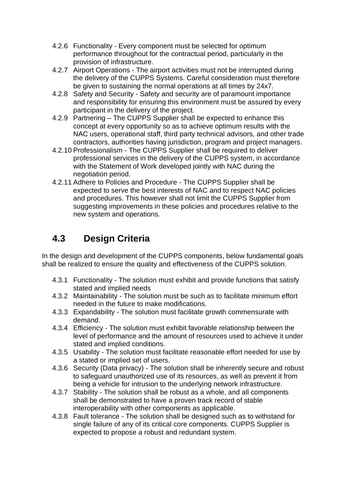- 4.2.6 Functionality Every component must be selected for optimum performance throughout for the contractual period, particularly in the provision of infrastructure.
- 4.2.7 Airport Operations The airport activities must not be interrupted during the delivery of the CUPPS Systems. Careful consideration must therefore be given to sustaining the normal operations at all times by 24x7.
- 4.2.8 Safety and Security Safety and security are of paramount importance and responsibility for ensuring this environment must be assured by every participant in the delivery of the project.
- 4.2.9 Partnering The CUPPS Supplier shall be expected to enhance this concept at every opportunity so as to achieve optimum results with the NAC users, operational staff, third party technical advisors, and other trade contractors, authorities having jurisdiction, program and project managers.
- 4.2.10 Professionalism The CUPPS Supplier shall be required to deliver professional services in the delivery of the CUPPS system, in accordance with the Statement of Work developed jointly with NAC during the negotiation period.
- 4.2.11 Adhere to Policies and Procedure The CUPPS Supplier shall be expected to serve the best interests of NAC and to respect NAC policies and procedures. This however shall not limit the CUPPS Supplier from suggesting improvements in these policies and procedures relative to the new system and operations.

# **4.3 Design Criteria**

In the design and development of the CUPPS components, below fundamental goals shall be realized to ensure the quality and effectiveness of the CUPPS solution.

- 4.3.1 Functionality The solution must exhibit and provide functions that satisfy stated and implied needs
- 4.3.2 Maintainability The solution must be such as to facilitate minimum effort needed in the future to make modifications.
- 4.3.3 Expandability The solution must facilitate growth commensurate with demand.
- 4.3.4 Efficiency The solution must exhibit favorable relationship between the level of performance and the amount of resources used to achieve it under stated and implied conditions.
- 4.3.5 Usability The solution must facilitate reasonable effort needed for use by a stated or implied set of users.
- 4.3.6 Security (Data privacy) The solution shall be inherently secure and robust to safeguard unauthorized use of its resources, as well as prevent it from being a vehicle for intrusion to the underlying network infrastructure.
- 4.3.7 Stability The solution shall be robust as a whole, and all components shall be demonstrated to have a proven track record of stable interoperability with other components as applicable.
- 4.3.8 Fault tolerance The solution shall be designed such as to withstand for single failure of any of its critical core components. CUPPS Supplier is expected to propose a robust and redundant system.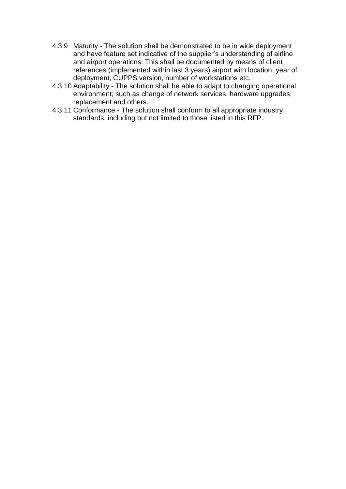- 4.3.9 Maturity The solution shall be demonstrated to be in wide deployment and have feature set indicative of the supplier's understanding of airline and airport operations. This shall be documented by means of client references (implemented within last 3 years) airport with location, year of deployment, CUPPS version, number of workstations etc.
- 4.3.10 Adaptability The solution shall be able to adapt to changing operational environment, such as change of network services, hardware upgrades, replacement and others.
- 4.3.11 Conformance The solution shall conform to all appropriate industry standards, including but not limited to those listed in this RFP.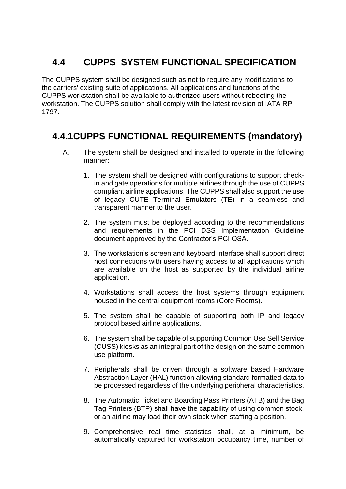# **4.4 CUPPS SYSTEM FUNCTIONAL SPECIFICATION**

The CUPPS system shall be designed such as not to require any modifications to the carriers' existing suite of applications. All applications and functions of the CUPPS workstation shall be available to authorized users without rebooting the workstation. The CUPPS solution shall comply with the latest revision of IATA RP 1797.

# **4.4.1CUPPS FUNCTIONAL REQUIREMENTS (mandatory)**

- A. The system shall be designed and installed to operate in the following manner:
	- 1. The system shall be designed with configurations to support checkin and gate operations for multiple airlines through the use of CUPPS compliant airline applications. The CUPPS shall also support the use of legacy CUTE Terminal Emulators (TE) in a seamless and transparent manner to the user.
	- 2. The system must be deployed according to the recommendations and requirements in the PCI DSS Implementation Guideline document approved by the Contractor's PCI QSA.
	- 3. The workstation's screen and keyboard interface shall support direct host connections with users having access to all applications which are available on the host as supported by the individual airline application.
	- 4. Workstations shall access the host systems through equipment housed in the central equipment rooms (Core Rooms).
	- 5. The system shall be capable of supporting both IP and legacy protocol based airline applications.
	- 6. The system shall be capable of supporting Common Use Self Service (CUSS) kiosks as an integral part of the design on the same common use platform.
	- 7. Peripherals shall be driven through a software based Hardware Abstraction Layer (HAL) function allowing standard formatted data to be processed regardless of the underlying peripheral characteristics.
	- 8. The Automatic Ticket and Boarding Pass Printers (ATB) and the Bag Tag Printers (BTP) shall have the capability of using common stock, or an airline may load their own stock when staffing a position.
	- 9. Comprehensive real time statistics shall, at a minimum, be automatically captured for workstation occupancy time, number of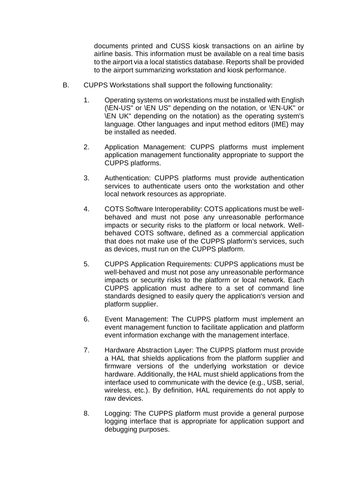documents printed and CUSS kiosk transactions on an airline by airline basis. This information must be available on a real time basis to the airport via a local statistics database. Reports shall be provided to the airport summarizing workstation and kiosk performance.

- B. CUPPS Workstations shall support the following functionality:
	- 1. Operating systems on workstations must be installed with English (\EN-US" or \EN US" depending on the notation, or \EN-UK" or \EN UK" depending on the notation) as the operating system's language. Other languages and input method editors (IME) may be installed as needed.
	- 2. Application Management: CUPPS platforms must implement application management functionality appropriate to support the CUPPS platforms.
	- 3. Authentication: CUPPS platforms must provide authentication services to authenticate users onto the workstation and other local network resources as appropriate.
	- 4. COTS Software Interoperability: COTS applications must be wellbehaved and must not pose any unreasonable performance impacts or security risks to the platform or local network. Wellbehaved COTS software, defined as a commercial application that does not make use of the CUPPS platform's services, such as devices, must run on the CUPPS platform.
	- 5. CUPPS Application Requirements: CUPPS applications must be well-behaved and must not pose any unreasonable performance impacts or security risks to the platform or local network. Each CUPPS application must adhere to a set of command line standards designed to easily query the application's version and platform supplier.
	- 6. Event Management: The CUPPS platform must implement an event management function to facilitate application and platform event information exchange with the management interface.
	- 7. Hardware Abstraction Layer: The CUPPS platform must provide a HAL that shields applications from the platform supplier and firmware versions of the underlying workstation or device hardware. Additionally, the HAL must shield applications from the interface used to communicate with the device (e.g., USB, serial, wireless, etc.). By definition, HAL requirements do not apply to raw devices.
	- 8. Logging: The CUPPS platform must provide a general purpose logging interface that is appropriate for application support and debugging purposes.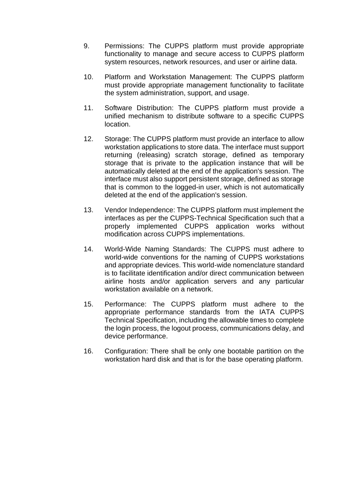- 9. Permissions: The CUPPS platform must provide appropriate functionality to manage and secure access to CUPPS platform system resources, network resources, and user or airline data.
- 10. Platform and Workstation Management: The CUPPS platform must provide appropriate management functionality to facilitate the system administration, support, and usage.
- 11. Software Distribution: The CUPPS platform must provide a unified mechanism to distribute software to a specific CUPPS location.
- 12. Storage: The CUPPS platform must provide an interface to allow workstation applications to store data. The interface must support returning (releasing) scratch storage, defined as temporary storage that is private to the application instance that will be automatically deleted at the end of the application's session. The interface must also support persistent storage, defined as storage that is common to the logged-in user, which is not automatically deleted at the end of the application's session.
- 13. Vendor Independence: The CUPPS platform must implement the interfaces as per the CUPPS-Technical Specification such that a properly implemented CUPPS application works without modification across CUPPS implementations.
- 14. World-Wide Naming Standards: The CUPPS must adhere to world-wide conventions for the naming of CUPPS workstations and appropriate devices. This world-wide nomenclature standard is to facilitate identification and/or direct communication between airline hosts and/or application servers and any particular workstation available on a network.
- 15. Performance: The CUPPS platform must adhere to the appropriate performance standards from the IATA CUPPS Technical Specification, including the allowable times to complete the login process, the logout process, communications delay, and device performance.
- 16. Configuration: There shall be only one bootable partition on the workstation hard disk and that is for the base operating platform.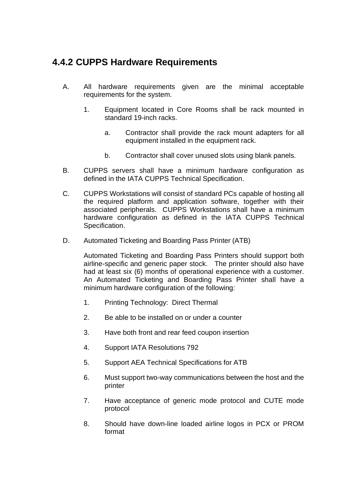### **4.4.2 CUPPS Hardware Requirements**

- A. All hardware requirements given are the minimal acceptable requirements for the system.
	- 1. Equipment located in Core Rooms shall be rack mounted in standard 19-inch racks.
		- a. Contractor shall provide the rack mount adapters for all equipment installed in the equipment rack.
		- b. Contractor shall cover unused slots using blank panels.
- B. CUPPS servers shall have a minimum hardware configuration as defined in the IATA CUPPS Technical Specification.
- C. CUPPS Workstations will consist of standard PCs capable of hosting all the required platform and application software, together with their associated peripherals. CUPPS Workstations shall have a minimum hardware configuration as defined in the IATA CUPPS Technical Specification.
- D. Automated Ticketing and Boarding Pass Printer (ATB)

Automated Ticketing and Boarding Pass Printers should support both airline-specific and generic paper stock. The printer should also have had at least six (6) months of operational experience with a customer. An Automated Ticketing and Boarding Pass Printer shall have a minimum hardware configuration of the following:

- 1. Printing Technology: Direct Thermal
- 2. Be able to be installed on or under a counter
- 3. Have both front and rear feed coupon insertion
- 4. Support IATA Resolutions 792
- 5. Support AEA Technical Specifications for ATB
- 6. Must support two-way communications between the host and the printer
- 7. Have acceptance of generic mode protocol and CUTE mode protocol
- 8. Should have down-line loaded airline logos in PCX or PROM format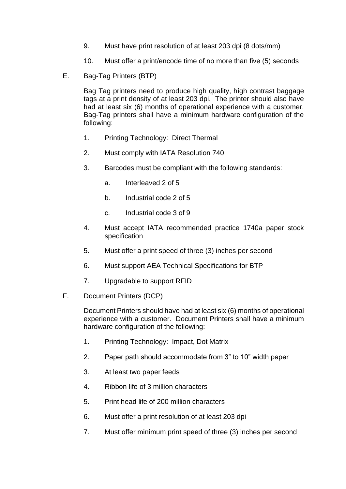- 9. Must have print resolution of at least 203 dpi (8 dots/mm)
- 10. Must offer a print/encode time of no more than five (5) seconds
- E. Bag-Tag Printers (BTP)

Bag Tag printers need to produce high quality, high contrast baggage tags at a print density of at least 203 dpi. The printer should also have had at least six (6) months of operational experience with a customer. Bag-Tag printers shall have a minimum hardware configuration of the following:

- 1. Printing Technology: Direct Thermal
- 2. Must comply with IATA Resolution 740
- 3. Barcodes must be compliant with the following standards:
	- a. Interleaved 2 of 5
	- b. Industrial code 2 of 5
	- c. Industrial code 3 of 9
- 4. Must accept IATA recommended practice 1740a paper stock specification
- 5. Must offer a print speed of three (3) inches per second
- 6. Must support AEA Technical Specifications for BTP
- 7. Upgradable to support RFID
- F. Document Printers (DCP)

Document Printers should have had at least six (6) months of operational experience with a customer. Document Printers shall have a minimum hardware configuration of the following:

- 1. Printing Technology: Impact, Dot Matrix
- 2. Paper path should accommodate from 3" to 10" width paper
- 3. At least two paper feeds
- 4. Ribbon life of 3 million characters
- 5. Print head life of 200 million characters
- 6. Must offer a print resolution of at least 203 dpi
- 7. Must offer minimum print speed of three (3) inches per second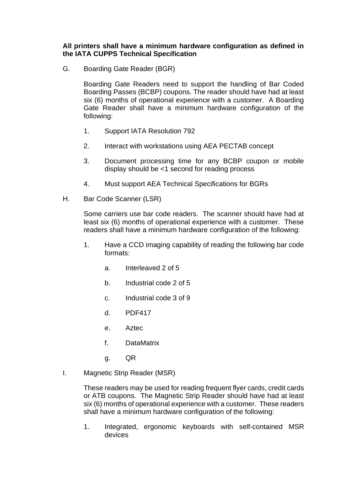**All printers shall have a minimum hardware configuration as defined in the IATA CUPPS Technical Specification**

G. Boarding Gate Reader (BGR)

Boarding Gate Readers need to support the handling of Bar Coded Boarding Passes (BCBP) coupons. The reader should have had at least six (6) months of operational experience with a customer. A Boarding Gate Reader shall have a minimum hardware configuration of the following:

- 1. Support IATA Resolution 792
- 2. Interact with workstations using AEA PECTAB concept
- 3. Document processing time for any BCBP coupon or mobile display should be <1 second for reading process
- 4. Must support AEA Technical Specifications for BGRs
- H. Bar Code Scanner (LSR)

Some carriers use bar code readers. The scanner should have had at least six (6) months of operational experience with a customer. These readers shall have a minimum hardware configuration of the following:

- 1. Have a CCD imaging capability of reading the following bar code formats:
	- a. Interleaved 2 of 5
	- b. Industrial code 2 of 5
	- c. Industrial code 3 of 9
	- d. PDF417
	- e. Aztec
	- f. DataMatrix
	- g. QR
- I. Magnetic Strip Reader (MSR)

These readers may be used for reading frequent flyer cards, credit cards or ATB coupons. The Magnetic Strip Reader should have had at least six (6) months of operational experience with a customer. These readers shall have a minimum hardware configuration of the following:

1. Integrated, ergonomic keyboards with self-contained MSR devices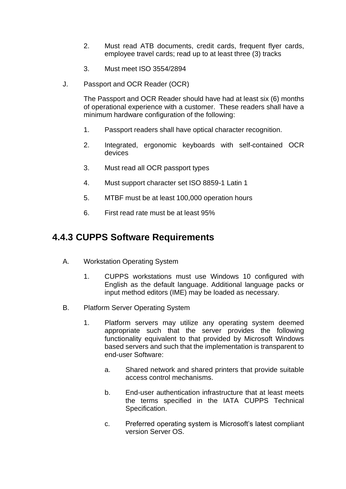- 2. Must read ATB documents, credit cards, frequent flyer cards, employee travel cards; read up to at least three (3) tracks
- 3. Must meet ISO 3554/2894
- J. Passport and OCR Reader (OCR)

The Passport and OCR Reader should have had at least six (6) months of operational experience with a customer. These readers shall have a minimum hardware configuration of the following:

- 1. Passport readers shall have optical character recognition.
- 2. Integrated, ergonomic keyboards with self-contained OCR devices
- 3. Must read all OCR passport types
- 4. Must support character set ISO 8859-1 Latin 1
- 5. MTBF must be at least 100,000 operation hours
- 6. First read rate must be at least 95%

#### **4.4.3 CUPPS Software Requirements**

- A. Workstation Operating System
	- 1. CUPPS workstations must use Windows 10 configured with English as the default language. Additional language packs or input method editors (IME) may be loaded as necessary.
- B. Platform Server Operating System
	- 1. Platform servers may utilize any operating system deemed appropriate such that the server provides the following functionality equivalent to that provided by Microsoft Windows based servers and such that the implementation is transparent to end-user Software:
		- a. Shared network and shared printers that provide suitable access control mechanisms.
		- b. End-user authentication infrastructure that at least meets the terms specified in the IATA CUPPS Technical Specification.
		- c. Preferred operating system is Microsoft's latest compliant version Server OS.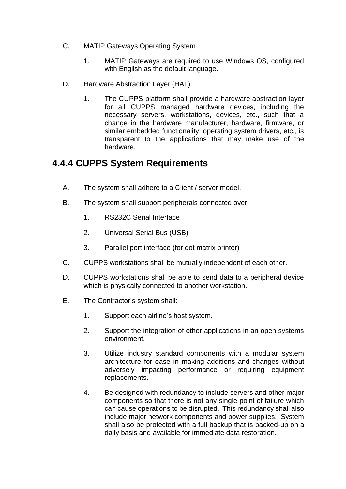- C. MATIP Gateways Operating System
	- 1. MATIP Gateways are required to use Windows OS, configured with English as the default language.
- D. Hardware Abstraction Layer (HAL)
	- 1. The CUPPS platform shall provide a hardware abstraction layer for all CUPPS managed hardware devices, including the necessary servers, workstations, devices, etc., such that a change in the hardware manufacturer, hardware, firmware, or similar embedded functionality, operating system drivers, etc., is transparent to the applications that may make use of the hardware.

#### **4.4.4 CUPPS System Requirements**

- A. The system shall adhere to a Client / server model.
- B. The system shall support peripherals connected over:
	- 1. RS232C Serial Interface
	- 2. Universal Serial Bus (USB)
	- 3. Parallel port interface (for dot matrix printer)
- C. CUPPS workstations shall be mutually independent of each other.
- D. CUPPS workstations shall be able to send data to a peripheral device which is physically connected to another workstation.
- E. The Contractor's system shall:
	- 1. Support each airline's host system.
	- 2. Support the integration of other applications in an open systems environment.
	- 3. Utilize industry standard components with a modular system architecture for ease in making additions and changes without adversely impacting performance or requiring equipment replacements.
	- 4. Be designed with redundancy to include servers and other major components so that there is not any single point of failure which can cause operations to be disrupted. This redundancy shall also include major network components and power supplies. System shall also be protected with a full backup that is backed-up on a daily basis and available for immediate data restoration.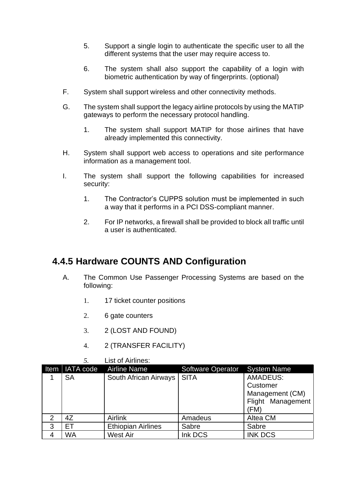- 5. Support a single login to authenticate the specific user to all the different systems that the user may require access to.
- 6. The system shall also support the capability of a login with biometric authentication by way of fingerprints. (optional)
- F. System shall support wireless and other connectivity methods.
- G. The system shall support the legacy airline protocols by using the MATIP gateways to perform the necessary protocol handling.
	- 1. The system shall support MATIP for those airlines that have already implemented this connectivity.
- H. System shall support web access to operations and site performance information as a management tool.
- I. The system shall support the following capabilities for increased security:
	- 1. The Contractor's CUPPS solution must be implemented in such a way that it performs in a PCI DSS-compliant manner.
	- 2. For IP networks, a firewall shall be provided to block all traffic until a user is authenticated.

#### **4.4.5 Hardware COUNTS AND Configuration**

- A. The Common Use Passenger Processing Systems are based on the following:
	- 1. 17 ticket counter positions
	- 2. 6 gate counters
	- 3. 2 (LOST AND FOUND)
	- 4. 2 (TRANSFER FACILITY)

|                |                | LISTOL AIHINES.           |                          |                                                                             |
|----------------|----------------|---------------------------|--------------------------|-----------------------------------------------------------------------------|
|                | Item IATA code | <b>Airline Name</b>       | <b>Software Operator</b> | <b>System Name</b>                                                          |
|                | <b>SA</b>      | South African Airways     | <b>SITA</b>              | <b>AMADEUS:</b><br>Customer<br>Management (CM)<br>Flight Management<br>(FM) |
| $\overline{2}$ | 4Z             | Airlink                   | Amadeus                  | Altea CM                                                                    |
| 3              | ЕT             | <b>Ethiopian Airlines</b> | Sabre                    | Sabre                                                                       |
|                | WA             | <b>West Air</b>           | Ink DCS                  | <b>INK DCS</b>                                                              |

#### *5.* List of Airlines: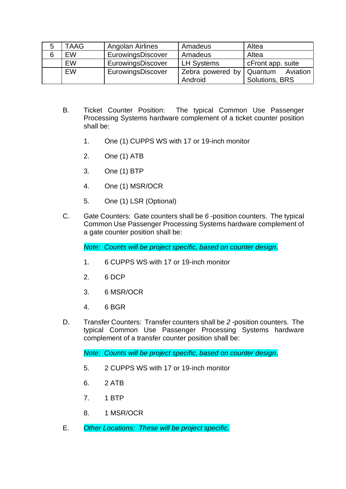| 5 | TAAG      | Angolan Airlines  | Amadeus           | Altea               |
|---|-----------|-------------------|-------------------|---------------------|
| 6 | <b>EW</b> | EurowingsDiscover | Amadeus           | Altea               |
|   | EW        | EurowingsDiscover | <b>LH Systems</b> | cFront app. suite   |
|   | <b>EW</b> | EurowingsDiscover | Zebra powered by  | Aviation<br>Quantum |
|   |           |                   | Android           | Solutions, BRS      |

- B. Ticket Counter Position: The typical Common Use Passenger Processing Systems hardware complement of a ticket counter position shall be:
	- 1. One (1) CUPPS WS with 17 or 19-inch monitor
	- 2. One (1) ATB
	- 3. One (1) BTP
	- 4. One (1) MSR/OCR
	- 5. One (1) LSR (Optional)
- C. Gate Counters: Gate counters shall be *6* -position counters. The typical Common Use Passenger Processing Systems hardware complement of a gate counter position shall be:

*Note: Counts will be project specific, based on counter design*.

- 1. 6 CUPPS WS with 17 or 19-inch monitor
- 2. 6 DCP
- 3. 6 MSR/OCR
- 4. 6 BGR
- D. Transfer Counters: Transfer counters shall be *2* -position counters. The typical Common Use Passenger Processing Systems hardware complement of a transfer counter position shall be:

*Note: Counts will be project specific, based on counter design*.

- 5. 2 CUPPS WS with 17 or 19-inch monitor
- 6. 2 ATB
- 7. 1 BTP
- 8. 1 MSR/OCR
- E. *Other Locations: These will be project specific.*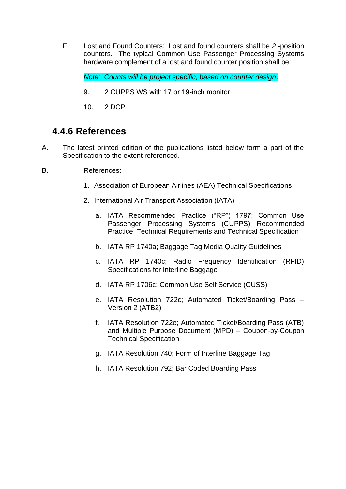F. Lost and Found Counters: Lost and found counters shall be *2* -position counters. The typical Common Use Passenger Processing Systems hardware complement of a lost and found counter position shall be:

*Note: Counts will be project specific, based on counter design*.

- 9. 2 CUPPS WS with 17 or 19-inch monitor
- 10. 2 DCP

#### **4.4.6 References**

- A. The latest printed edition of the publications listed below form a part of the Specification to the extent referenced.
- B. References:
	- 1. Association of European Airlines (AEA) Technical Specifications
	- 2. International Air Transport Association (IATA)
		- a. IATA Recommended Practice ("RP") 1797; Common Use Passenger Processing Systems (CUPPS) Recommended Practice, Technical Requirements and Technical Specification
		- b. IATA RP 1740a; Baggage Tag Media Quality Guidelines
		- c. IATA RP 1740c; Radio Frequency Identification (RFID) Specifications for Interline Baggage
		- d. IATA RP 1706c; Common Use Self Service (CUSS)
		- e. IATA Resolution 722c; Automated Ticket/Boarding Pass Version 2 (ATB2)
		- f. IATA Resolution 722e; Automated Ticket/Boarding Pass (ATB) and Multiple Purpose Document (MPD) – Coupon-by-Coupon Technical Specification
		- g. IATA Resolution 740; Form of Interline Baggage Tag
		- h. IATA Resolution 792; Bar Coded Boarding Pass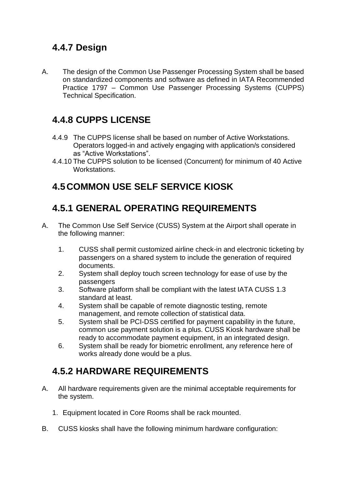### **4.4.7 Design**

A. The design of the Common Use Passenger Processing System shall be based on standardized components and software as defined in IATA Recommended Practice 1797 – Common Use Passenger Processing Systems (CUPPS) Technical Specification.

# **4.4.8 CUPPS LICENSE**

- 4.4.9 The CUPPS license shall be based on number of Active Workstations. Operators logged-in and actively engaging with application/s considered as "Active Workstations".
- 4.4.10 The CUPPS solution to be licensed (Concurrent) for minimum of 40 Active Workstations.

# **4.5COMMON USE SELF SERVICE KIOSK**

# **4.5.1 GENERAL OPERATING REQUIREMENTS**

- A. The Common Use Self Service (CUSS) System at the Airport shall operate in the following manner:
	- 1. CUSS shall permit customized airline check-in and electronic ticketing by passengers on a shared system to include the generation of required documents.
	- 2. System shall deploy touch screen technology for ease of use by the passengers
	- 3. Software platform shall be compliant with the latest IATA CUSS 1.3 standard at least.
	- 4. System shall be capable of remote diagnostic testing, remote management, and remote collection of statistical data.
	- 5. System shall be PCI-DSS certified for payment capability in the future, common use payment solution is a plus. CUSS Kiosk hardware shall be ready to accommodate payment equipment, in an integrated design.
	- 6. System shall be ready for biometric enrollment, any reference here of works already done would be a plus.

# **4.5.2 HARDWARE REQUIREMENTS**

- A. All hardware requirements given are the minimal acceptable requirements for the system.
	- 1. Equipment located in Core Rooms shall be rack mounted.
- B. CUSS kiosks shall have the following minimum hardware configuration: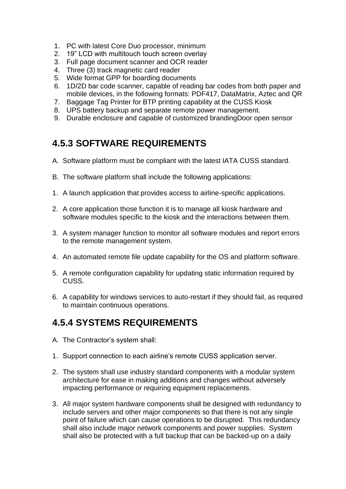- 1. PC with latest Core Duo processor, minimum
- 2. 19" LCD with multitouch touch screen overlay
- 3. Full page document scanner and OCR reader
- 4. Three (3) track magnetic card reader
- 5. Wide format GPP for boarding documents
- 6. 1D/2D bar code scanner, capable of reading bar codes from both paper and mobile devices, in the following formats: PDF417, DataMatrix, Aztec and QR
- 7. Baggage Tag Printer for BTP printing capability at the CUSS Kiosk
- 8. UPS battery backup and separate remote power management.
- 9. Durable enclosure and capable of customized brandingDoor open sensor

# **4.5.3 SOFTWARE REQUIREMENTS**

- A. Software platform must be compliant with the latest IATA CUSS standard.
- B. The software platform shall include the following applications:
- 1. A launch application that provides access to airline-specific applications.
- 2. A core application those function it is to manage all kiosk hardware and software modules specific to the kiosk and the interactions between them.
- 3. A system manager function to monitor all software modules and report errors to the remote management system.
- 4. An automated remote file update capability for the OS and platform software.
- 5. A remote configuration capability for updating static information required by CUSS.
- 6. A capability for windows services to auto-restart if they should fail, as required to maintain continuous operations.

### **4.5.4 SYSTEMS REQUIREMENTS**

- A. The Contractor's system shall:
- 1. Support connection to each airline's remote CUSS application server.
- 2. The system shall use industry standard components with a modular system architecture for ease in making additions and changes without adversely impacting performance or requiring equipment replacements.
- 3. All major system hardware components shall be designed with redundancy to include servers and other major components so that there is not any single point of failure which can cause operations to be disrupted. This redundancy shall also include major network components and power supplies. System shall also be protected with a full backup that can be backed-up on a daily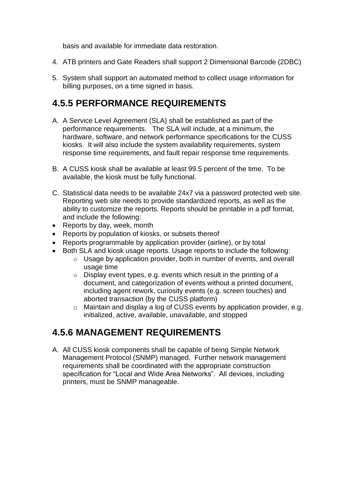basis and available for immediate data restoration.

- 4. ATB printers and Gate Readers shall support 2 Dimensional Barcode (2DBC)
- 5. System shall support an automated method to collect usage information for billing purposes, on a time signed in basis.

### **4.5.5 PERFORMANCE REQUIREMENTS**

- A. A Service Level Agreement (SLA) shall be established as part of the performance requirements. The SLA will include, at a minimum, the hardware, software, and network performance specifications for the CUSS kiosks. It will also include the system availability requirements, system response time requirements, and fault repair response time requirements.
- B. A CUSS kiosk shall be available at least 99.5 percent of the time. To be available, the kiosk must be fully functional.
- C. Statistical data needs to be available 24x7 via a password protected web site. Reporting web site needs to provide standardized reports, as well as the ability to customize the reports. Reports should be printable in a pdf format, and include the following:
- Reports by day, week, month
- Reports by population of kiosks, or subsets thereof
- Reports programmable by application provider (airline), or by total
- Both SLA and kiosk usage reports. Usage reports to include the following:
	- o Usage by application provider, both in number of events, and overall usage time
	- $\circ$  Display event types, e.g. events which result in the printing of a document, and categorization of events without a printed document, including agent rework, curiosity events (e.g. screen touches) and aborted transaction (by the CUSS platform)
	- o Maintain and display a log of CUSS events by application provider, e.g. initialized, active, available, unavailable, and stopped

#### **4.5.6 MANAGEMENT REQUIREMENTS**

A. All CUSS kiosk components shall be capable of being Simple Network Management Protocol (SNMP) managed. Further network management requirements shall be coordinated with the appropriate construction specification for "Local and Wide Area Networks". All devices, including printers, must be SNMP manageable.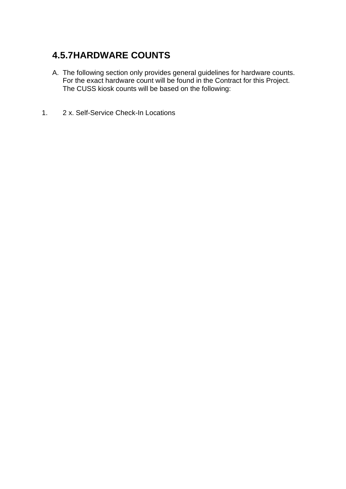# **4.5.7HARDWARE COUNTS**

- A. The following section only provides general guidelines for hardware counts. For the exact hardware count will be found in the Contract for this Project. The CUSS kiosk counts will be based on the following:
- 1. 2 x. Self-Service Check-In Locations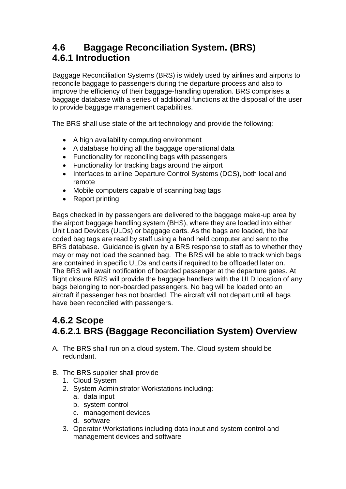### **4.6 Baggage Reconciliation System. (BRS) 4.6.1 Introduction**

Baggage Reconciliation Systems (BRS) is widely used by airlines and airports to reconcile baggage to passengers during the departure process and also to improve the efficiency of their baggage-handling operation. BRS comprises a baggage database with a series of additional functions at the disposal of the user to provide baggage management capabilities.

The BRS shall use state of the art technology and provide the following:

- A high availability computing environment
- A database holding all the baggage operational data
- Functionality for reconciling bags with passengers
- Functionality for tracking bags around the airport
- Interfaces to airline Departure Control Systems (DCS), both local and remote
- Mobile computers capable of scanning bag tags
- Report printing

Bags checked in by passengers are delivered to the baggage make-up area by the airport baggage handling system (BHS), where they are loaded into either Unit Load Devices (ULDs) or baggage carts. As the bags are loaded, the bar coded bag tags are read by staff using a hand held computer and sent to the BRS database. Guidance is given by a BRS response to staff as to whether they may or may not load the scanned bag. The BRS will be able to track which bags are contained in specific ULDs and carts if required to be offloaded later on. The BRS will await notification of boarded passenger at the departure gates. At flight closure BRS will provide the baggage handlers with the ULD location of any bags belonging to non-boarded passengers. No bag will be loaded onto an aircraft if passenger has not boarded. The aircraft will not depart until all bags have been reconciled with passengers.

# **4.6.2 Scope 4.6.2.1 BRS (Baggage Reconciliation System) Overview**

- A. The BRS shall run on a cloud system. The. Cloud system should be redundant.
- B. The BRS supplier shall provide
	- 1. Cloud System
	- 2. System Administrator Workstations including:
		- a. data input
		- b. system control
		- c. management devices
		- d. software
	- 3. Operator Workstations including data input and system control and management devices and software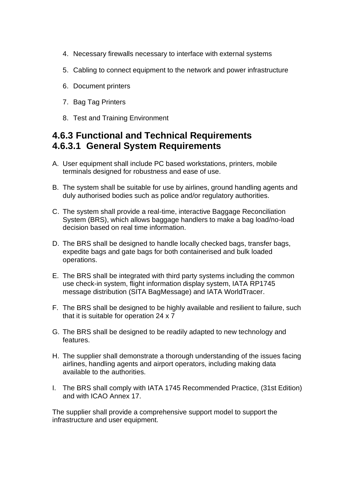- 4. Necessary firewalls necessary to interface with external systems
- 5. Cabling to connect equipment to the network and power infrastructure
- 6. Document printers
- 7. Bag Tag Printers
- 8. Test and Training Environment

#### **4.6.3 Functional and Technical Requirements 4.6.3.1 General System Requirements**

- A. User equipment shall include PC based workstations, printers, mobile terminals designed for robustness and ease of use.
- B. The system shall be suitable for use by airlines, ground handling agents and duly authorised bodies such as police and/or regulatory authorities.
- C. The system shall provide a real-time, interactive Baggage Reconciliation System (BRS), which allows baggage handlers to make a bag load/no-load decision based on real time information.
- D. The BRS shall be designed to handle locally checked bags, transfer bags, expedite bags and gate bags for both containerised and bulk loaded operations.
- E. The BRS shall be integrated with third party systems including the common use check-in system, flight information display system, IATA RP1745 message distribution (SITA BagMessage) and IATA WorldTracer.
- F. The BRS shall be designed to be highly available and resilient to failure, such that it is suitable for operation 24 x 7
- G. The BRS shall be designed to be readily adapted to new technology and features.
- H. The supplier shall demonstrate a thorough understanding of the issues facing airlines, handling agents and airport operators, including making data available to the authorities.
- I. The BRS shall comply with IATA 1745 Recommended Practice, (31st Edition) and with ICAO Annex 17.

The supplier shall provide a comprehensive support model to support the infrastructure and user equipment.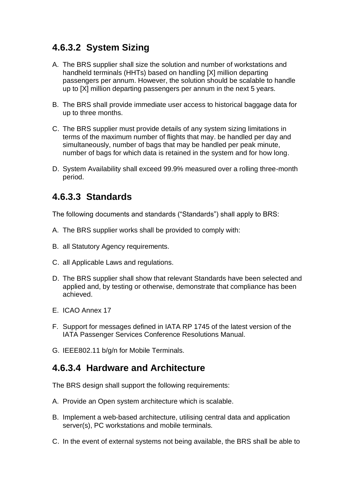# **4.6.3.2 System Sizing**

- A. The BRS supplier shall size the solution and number of workstations and handheld terminals (HHTs) based on handling [X] million departing passengers per annum. However, the solution should be scalable to handle up to [X] million departing passengers per annum in the next 5 years.
- B. The BRS shall provide immediate user access to historical baggage data for up to three months.
- C. The BRS supplier must provide details of any system sizing limitations in terms of the maximum number of flights that may. be handled per day and simultaneously, number of bags that may be handled per peak minute, number of bags for which data is retained in the system and for how long.
- D. System Availability shall exceed 99.9% measured over a rolling three-month period.

#### **4.6.3.3 Standards**

The following documents and standards ("Standards") shall apply to BRS:

- A. The BRS supplier works shall be provided to comply with:
- B. all Statutory Agency requirements.
- C. all Applicable Laws and regulations.
- D. The BRS supplier shall show that relevant Standards have been selected and applied and, by testing or otherwise, demonstrate that compliance has been achieved.
- E. ICAO Annex 17
- F. Support for messages defined in IATA RP 1745 of the latest version of the IATA Passenger Services Conference Resolutions Manual.
- G. IEEE802.11 b/g/n for Mobile Terminals.

#### **4.6.3.4 Hardware and Architecture**

The BRS design shall support the following requirements:

- A. Provide an Open system architecture which is scalable.
- B. Implement a web-based architecture, utilising central data and application server(s), PC workstations and mobile terminals.
- C. In the event of external systems not being available, the BRS shall be able to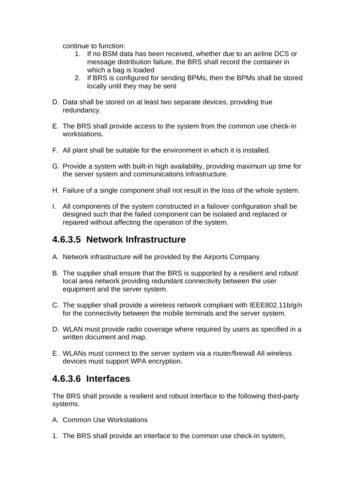continue to function:

- 1. If no BSM data has been received, whether due to an airline DCS or message distribution failure, the BRS shall record the container in which a bag is loaded
- 2. If BRS is configured for sending BPMs, then the BPMs shall be stored locally until they may be sent
- D. Data shall be stored on at least two separate devices, providing true redundancy.
- E. The BRS shall provide access to the system from the common use check-in workstations.
- F. All plant shall be suitable for the environment in which it is installed.
- G. Provide a system with built-in high availability, providing maximum up time for the server system and communications infrastructure.
- H. Failure of a single component shall not result in the loss of the whole system.
- I. All components of the system constructed in a failover configuration shall be designed such that the failed component can be isolated and replaced or repaired without affecting the operation of the system.

### **4.6.3.5 Network Infrastructure**

- A. Network infrastructure will be provided by the Airports Company.
- B. The supplier shall ensure that the BRS is supported by a resilient and robust local area network providing redundant connectivity between the user equipment and the server system.
- C. The supplier shall provide a wireless network compliant with IEEE802.11b/g/n for the connectivity between the mobile terminals and the server system.
- D. WLAN must provide radio coverage where required by users as specified in a written document and map.
- E. WLANs must connect to the server system via a router/firewall All wireless devices must support WPA encryption.

### **4.6.3.6 Interfaces**

The BRS shall provide a resilient and robust interface to the following third-party systems.

- A. Common Use Workstations
- 1. The BRS shall provide an interface to the common use check-in system,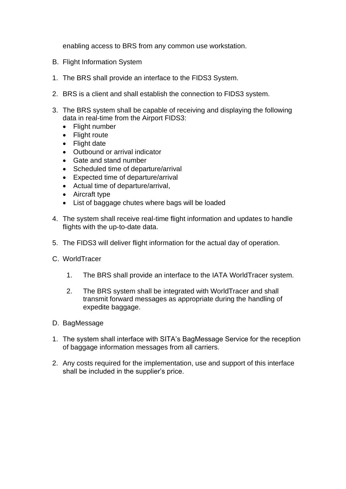enabling access to BRS from any common use workstation.

- B. Flight Information System
- 1. The BRS shall provide an interface to the FIDS3 System.
- 2. BRS is a client and shall establish the connection to FIDS3 system.
- 3. The BRS system shall be capable of receiving and displaying the following data in real-time from the Airport FIDS3:
	- Flight number
	- Flight route
	- Flight date
	- Outbound or arrival indicator
	- Gate and stand number
	- Scheduled time of departure/arrival
	- Expected time of departure/arrival
	- Actual time of departure/arrival,
	- Aircraft type
	- List of baggage chutes where bags will be loaded
- 4. The system shall receive real-time flight information and updates to handle flights with the up-to-date data.
- 5. The FIDS3 will deliver flight information for the actual day of operation.
- C. WorldTracer
	- 1. The BRS shall provide an interface to the IATA WorldTracer system.
	- 2. The BRS system shall be integrated with WorldTracer and shall transmit forward messages as appropriate during the handling of expedite baggage.
- D. BagMessage
- 1. The system shall interface with SITA's BagMessage Service for the reception of baggage information messages from all carriers.
- 2. Any costs required for the implementation, use and support of this interface shall be included in the supplier's price.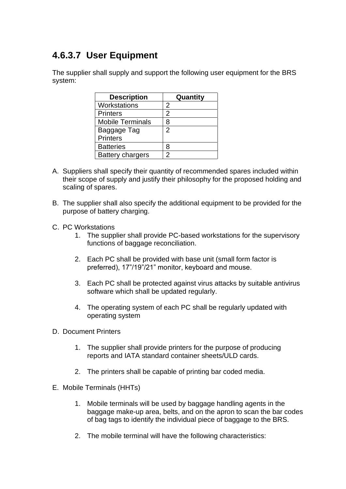# **4.6.3.7 User Equipment**

The supplier shall supply and support the following user equipment for the BRS system:

| <b>Description</b>      | Quantity       |
|-------------------------|----------------|
| Workstations            | 2              |
| <b>Printers</b>         | 2              |
| <b>Mobile Terminals</b> | 8              |
| Baggage Tag             | $\overline{2}$ |
| <b>Printers</b>         |                |
| <b>Batteries</b>        | 8              |
| <b>Battery chargers</b> | 2              |

- A. Suppliers shall specify their quantity of recommended spares included within their scope of supply and justify their philosophy for the proposed holding and scaling of spares.
- B. The supplier shall also specify the additional equipment to be provided for the purpose of battery charging.
- C. PC Workstations
	- 1. The supplier shall provide PC-based workstations for the supervisory functions of baggage reconciliation.
	- 2. Each PC shall be provided with base unit (small form factor is preferred), 17"/19"/21" monitor, keyboard and mouse.
	- 3. Each PC shall be protected against virus attacks by suitable antivirus software which shall be updated regularly.
	- 4. The operating system of each PC shall be regularly updated with operating system
- D. Document Printers
	- 1. The supplier shall provide printers for the purpose of producing reports and IATA standard container sheets/ULD cards.
	- 2. The printers shall be capable of printing bar coded media.
- E. Mobile Terminals (HHTs)
	- 1. Mobile terminals will be used by baggage handling agents in the baggage make-up area, belts, and on the apron to scan the bar codes of bag tags to identify the individual piece of baggage to the BRS.
	- 2. The mobile terminal will have the following characteristics: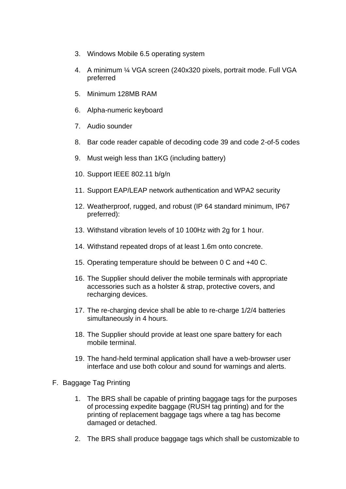- 3. Windows Mobile 6.5 operating system
- 4. A minimum ¼ VGA screen (240x320 pixels, portrait mode. Full VGA preferred
- 5. Minimum 128MB RAM
- 6. Alpha-numeric keyboard
- 7. Audio sounder
- 8. Bar code reader capable of decoding code 39 and code 2-of-5 codes
- 9. Must weigh less than 1KG (including battery)
- 10. Support IEEE 802.11 b/g/n
- 11. Support EAP/LEAP network authentication and WPA2 security
- 12. Weatherproof, rugged, and robust (IP 64 standard minimum, IP67 preferred):
- 13. Withstand vibration levels of 10 100Hz with 2g for 1 hour.
- 14. Withstand repeated drops of at least 1.6m onto concrete.
- 15. Operating temperature should be between 0 C and +40 C.
- 16. The Supplier should deliver the mobile terminals with appropriate accessories such as a holster & strap, protective covers, and recharging devices.
- 17. The re-charging device shall be able to re-charge 1/2/4 batteries simultaneously in 4 hours.
- 18. The Supplier should provide at least one spare battery for each mobile terminal.
- 19. The hand-held terminal application shall have a web-browser user interface and use both colour and sound for warnings and alerts.
- F. Baggage Tag Printing
	- 1. The BRS shall be capable of printing baggage tags for the purposes of processing expedite baggage (RUSH tag printing) and for the printing of replacement baggage tags where a tag has become damaged or detached.
	- 2. The BRS shall produce baggage tags which shall be customizable to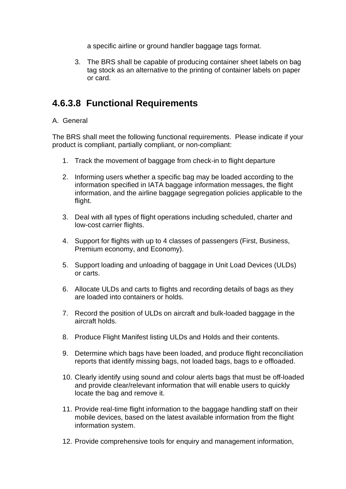a specific airline or ground handler baggage tags format.

3. The BRS shall be capable of producing container sheet labels on bag tag stock as an alternative to the printing of container labels on paper or card.

## **4.6.3.8 Functional Requirements**

#### A. General

The BRS shall meet the following functional requirements. Please indicate if your product is compliant, partially compliant, or non-compliant:

- 1. Track the movement of baggage from check-in to flight departure
- 2. Informing users whether a specific bag may be loaded according to the information specified in IATA baggage information messages, the flight information, and the airline baggage segregation policies applicable to the flight.
- 3. Deal with all types of flight operations including scheduled, charter and low-cost carrier flights.
- 4. Support for flights with up to 4 classes of passengers (First, Business, Premium economy, and Economy).
- 5. Support loading and unloading of baggage in Unit Load Devices (ULDs) or carts.
- 6. Allocate ULDs and carts to flights and recording details of bags as they are loaded into containers or holds.
- 7. Record the position of ULDs on aircraft and bulk-loaded baggage in the aircraft holds.
- 8. Produce Flight Manifest listing ULDs and Holds and their contents.
- 9. Determine which bags have been loaded, and produce flight reconciliation reports that identify missing bags, not loaded bags, bags to e offloaded.
- 10. Clearly identify using sound and colour alerts bags that must be off-loaded and provide clear/relevant information that will enable users to quickly locate the bag and remove it.
- 11. Provide real-time flight information to the baggage handling staff on their mobile devices, based on the latest available information from the flight information system.
- 12. Provide comprehensive tools for enquiry and management information,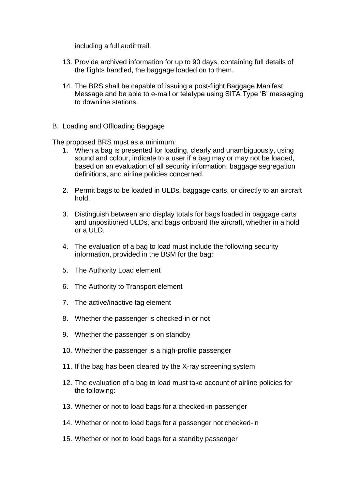including a full audit trail.

- 13. Provide archived information for up to 90 days, containing full details of the flights handled, the baggage loaded on to them.
- 14. The BRS shall be capable of issuing a post-flight Baggage Manifest Message and be able to e-mail or teletype using SITA Type 'B' messaging to downline stations.
- B. Loading and Offloading Baggage

The proposed BRS must as a minimum:

- 1. When a bag is presented for loading, clearly and unambiguously, using sound and colour, indicate to a user if a bag may or may not be loaded, based on an evaluation of all security information, baggage segregation definitions, and airline policies concerned.
- 2. Permit bags to be loaded in ULDs, baggage carts, or directly to an aircraft hold.
- 3. Distinguish between and display totals for bags loaded in baggage carts and unpositioned ULDs, and bags onboard the aircraft, whether in a hold or a  $III$  D.
- 4. The evaluation of a bag to load must include the following security information, provided in the BSM for the bag:
- 5. The Authority Load element
- 6. The Authority to Transport element
- 7. The active/inactive tag element
- 8. Whether the passenger is checked-in or not
- 9. Whether the passenger is on standby
- 10. Whether the passenger is a high-profile passenger
- 11. If the bag has been cleared by the X-ray screening system
- 12. The evaluation of a bag to load must take account of airline policies for the following:
- 13. Whether or not to load bags for a checked-in passenger
- 14. Whether or not to load bags for a passenger not checked-in
- 15. Whether or not to load bags for a standby passenger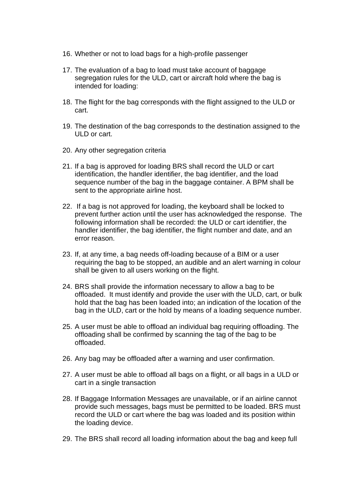- 16. Whether or not to load bags for a high-profile passenger
- 17. The evaluation of a bag to load must take account of baggage segregation rules for the ULD, cart or aircraft hold where the bag is intended for loading:
- 18. The flight for the bag corresponds with the flight assigned to the ULD or cart.
- 19. The destination of the bag corresponds to the destination assigned to the ULD or cart.
- 20. Any other segregation criteria
- 21. If a bag is approved for loading BRS shall record the ULD or cart identification, the handler identifier, the bag identifier, and the load sequence number of the bag in the baggage container. A BPM shall be sent to the appropriate airline host.
- 22. If a bag is not approved for loading, the keyboard shall be locked to prevent further action until the user has acknowledged the response. The following information shall be recorded: the ULD or cart identifier, the handler identifier, the bag identifier, the flight number and date, and an error reason.
- 23. If, at any time, a bag needs off-loading because of a BIM or a user requiring the bag to be stopped, an audible and an alert warning in colour shall be given to all users working on the flight.
- 24. BRS shall provide the information necessary to allow a bag to be offloaded. It must identify and provide the user with the ULD, cart, or bulk hold that the bag has been loaded into; an indication of the location of the bag in the ULD, cart or the hold by means of a loading sequence number.
- 25. A user must be able to offload an individual bag requiring offloading. The offloading shall be confirmed by scanning the tag of the bag to be offloaded.
- 26. Any bag may be offloaded after a warning and user confirmation.
- 27. A user must be able to offload all bags on a flight, or all bags in a ULD or cart in a single transaction
- 28. If Baggage Information Messages are unavailable, or if an airline cannot provide such messages, bags must be permitted to be loaded. BRS must record the ULD or cart where the bag was loaded and its position within the loading device.
- 29. The BRS shall record all loading information about the bag and keep full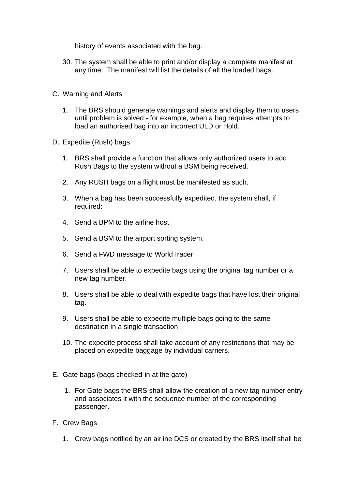history of events associated with the bag.

- 30. The system shall be able to print and/or display a complete manifest at any time. The manifest will list the details of all the loaded bags.
- C. Warning and Alerts
	- 1. The BRS should generate warnings and alerts and display them to users until problem is solved - for example, when a bag requires attempts to load an authorised bag into an incorrect ULD or Hold.
- D. Expedite (Rush) bags
	- 1. BRS shall provide a function that allows only authorized users to add Rush Bags to the system without a BSM being received.
	- 2. Any RUSH bags on a flight must be manifested as such.
	- 3. When a bag has been successfully expedited, the system shall, if required:
	- 4. Send a BPM to the airline host
	- 5. Send a BSM to the airport sorting system.
	- 6. Send a FWD message to WorldTracer
	- 7. Users shall be able to expedite bags using the original tag number or a new tag number.
	- 8. Users shall be able to deal with expedite bags that have lost their original tag.
	- 9. Users shall be able to expedite multiple bags going to the same destination in a single transaction
	- 10. The expedite process shall take account of any restrictions that may be placed on expedite baggage by individual carriers.
- E. Gate bags (bags checked-in at the gate)
	- 1. For Gate bags the BRS shall allow the creation of a new tag number entry and associates it with the sequence number of the corresponding passenger.
- F. Crew Bags
	- 1. Crew bags notified by an airline DCS or created by the BRS itself shall be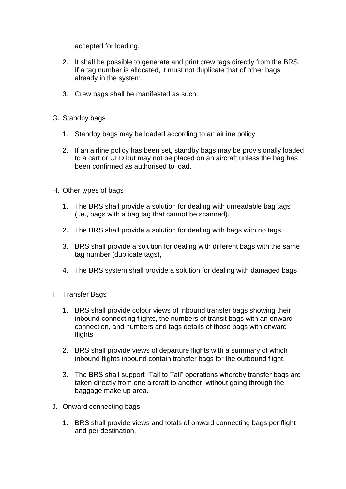accepted for loading.

- 2. It shall be possible to generate and print crew tags directly from the BRS. If a tag number is allocated, it must not duplicate that of other bags already in the system.
- 3. Crew bags shall be manifested as such.
- G. Standby bags
	- 1. Standby bags may be loaded according to an airline policy.
	- 2. If an airline policy has been set, standby bags may be provisionally loaded to a cart or ULD but may not be placed on an aircraft unless the bag has been confirmed as authorised to load.
- H. Other types of bags
	- 1. The BRS shall provide a solution for dealing with unreadable bag tags (i.e., bags with a bag tag that cannot be scanned).
	- 2. The BRS shall provide a solution for dealing with bags with no tags.
	- 3. BRS shall provide a solution for dealing with different bags with the same tag number (duplicate tags),
	- 4. The BRS system shall provide a solution for dealing with damaged bags
- I. Transfer Bags
	- 1. BRS shall provide colour views of inbound transfer bags showing their inbound connecting flights, the numbers of transit bags with an onward connection, and numbers and tags details of those bags with onward flights
	- 2. BRS shall provide views of departure flights with a summary of which inbound flights inbound contain transfer bags for the outbound flight.
	- 3. The BRS shall support "Tail to Tail" operations whereby transfer bags are taken directly from one aircraft to another, without going through the baggage make up area.
- J. Onward connecting bags
	- 1. BRS shall provide views and totals of onward connecting bags per flight and per destination.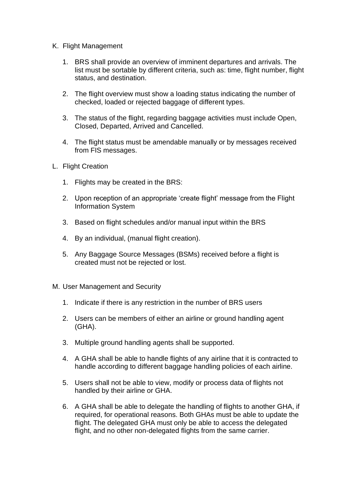- K. Flight Management
	- 1. BRS shall provide an overview of imminent departures and arrivals. The list must be sortable by different criteria, such as: time, flight number, flight status, and destination.
	- 2. The flight overview must show a loading status indicating the number of checked, loaded or rejected baggage of different types.
	- 3. The status of the flight, regarding baggage activities must include Open, Closed, Departed, Arrived and Cancelled.
	- 4. The flight status must be amendable manually or by messages received from FIS messages.
- L. Flight Creation
	- 1. Flights may be created in the BRS:
	- 2. Upon reception of an appropriate 'create flight' message from the Flight Information System
	- 3. Based on flight schedules and/or manual input within the BRS
	- 4. By an individual, (manual flight creation).
	- 5. Any Baggage Source Messages (BSMs) received before a flight is created must not be rejected or lost.
- M. User Management and Security
	- 1. Indicate if there is any restriction in the number of BRS users
	- 2. Users can be members of either an airline or ground handling agent (GHA).
	- 3. Multiple ground handling agents shall be supported.
	- 4. A GHA shall be able to handle flights of any airline that it is contracted to handle according to different baggage handling policies of each airline.
	- 5. Users shall not be able to view, modify or process data of flights not handled by their airline or GHA.
	- 6. A GHA shall be able to delegate the handling of flights to another GHA, if required, for operational reasons. Both GHAs must be able to update the flight. The delegated GHA must only be able to access the delegated flight, and no other non-delegated flights from the same carrier.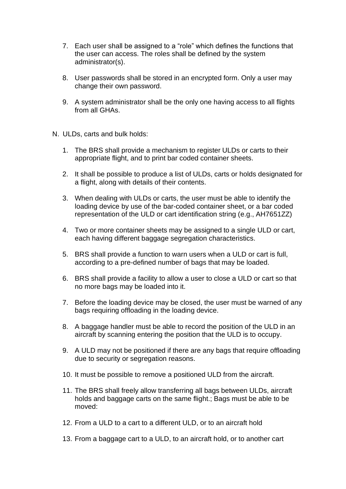- 7. Each user shall be assigned to a "role" which defines the functions that the user can access. The roles shall be defined by the system administrator(s).
- 8. User passwords shall be stored in an encrypted form. Only a user may change their own password.
- 9. A system administrator shall be the only one having access to all flights from all GHAs.
- N. ULDs, carts and bulk holds:
	- 1. The BRS shall provide a mechanism to register ULDs or carts to their appropriate flight, and to print bar coded container sheets.
	- 2. It shall be possible to produce a list of ULDs, carts or holds designated for a flight, along with details of their contents.
	- 3. When dealing with ULDs or carts, the user must be able to identify the loading device by use of the bar-coded container sheet, or a bar coded representation of the ULD or cart identification string (e.g., AH7651ZZ)
	- 4. Two or more container sheets may be assigned to a single ULD or cart, each having different baggage segregation characteristics.
	- 5. BRS shall provide a function to warn users when a ULD or cart is full, according to a pre-defined number of bags that may be loaded.
	- 6. BRS shall provide a facility to allow a user to close a ULD or cart so that no more bags may be loaded into it.
	- 7. Before the loading device may be closed, the user must be warned of any bags requiring offloading in the loading device.
	- 8. A baggage handler must be able to record the position of the ULD in an aircraft by scanning entering the position that the ULD is to occupy.
	- 9. A ULD may not be positioned if there are any bags that require offloading due to security or segregation reasons.
	- 10. It must be possible to remove a positioned ULD from the aircraft.
	- 11. The BRS shall freely allow transferring all bags between ULDs, aircraft holds and baggage carts on the same flight.; Bags must be able to be moved:
	- 12. From a ULD to a cart to a different ULD, or to an aircraft hold
	- 13. From a baggage cart to a ULD, to an aircraft hold, or to another cart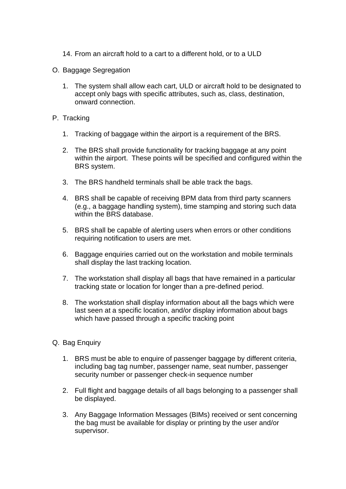- 14. From an aircraft hold to a cart to a different hold, or to a ULD
- O. Baggage Segregation
	- 1. The system shall allow each cart, ULD or aircraft hold to be designated to accept only bags with specific attributes, such as, class, destination, onward connection.
- P. Tracking
	- 1. Tracking of baggage within the airport is a requirement of the BRS.
	- 2. The BRS shall provide functionality for tracking baggage at any point within the airport. These points will be specified and configured within the BRS system.
	- 3. The BRS handheld terminals shall be able track the bags.
	- 4. BRS shall be capable of receiving BPM data from third party scanners (e.g., a baggage handling system), time stamping and storing such data within the BRS database.
	- 5. BRS shall be capable of alerting users when errors or other conditions requiring notification to users are met.
	- 6. Baggage enquiries carried out on the workstation and mobile terminals shall display the last tracking location.
	- 7. The workstation shall display all bags that have remained in a particular tracking state or location for longer than a pre-defined period.
	- 8. The workstation shall display information about all the bags which were last seen at a specific location, and/or display information about bags which have passed through a specific tracking point
- Q. Bag Enquiry
	- 1. BRS must be able to enquire of passenger baggage by different criteria, including bag tag number, passenger name, seat number, passenger security number or passenger check-in sequence number
	- 2. Full flight and baggage details of all bags belonging to a passenger shall be displayed.
	- 3. Any Baggage Information Messages (BIMs) received or sent concerning the bag must be available for display or printing by the user and/or supervisor.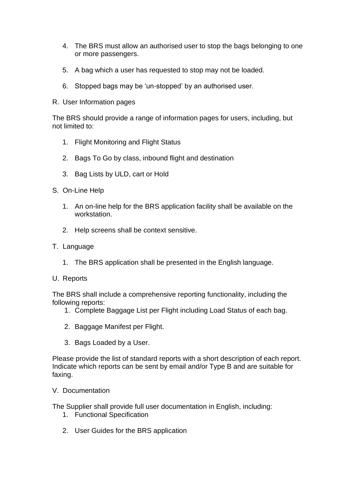- 4. The BRS must allow an authorised user to stop the bags belonging to one or more passengers.
- 5. A bag which a user has requested to stop may not be loaded.
- 6. Stopped bags may be 'un-stopped' by an authorised user.
- R. User Information pages

The BRS should provide a range of information pages for users, including, but not limited to:

- 1. Flight Monitoring and Flight Status
- 2. Bags To Go by class, inbound flight and destination
- 3. Bag Lists by ULD, cart or Hold
- S. On-Line Help
	- 1. An on-line help for the BRS application facility shall be available on the workstation.
	- 2. Help screens shall be context sensitive.
- T. Language
	- 1. The BRS application shall be presented in the English language.
- U. Reports

The BRS shall include a comprehensive reporting functionality, including the following reports:

- 1. Complete Baggage List per Flight including Load Status of each bag.
- 2. Baggage Manifest per Flight.
- 3. Bags Loaded by a User.

Please provide the list of standard reports with a short description of each report. Indicate which reports can be sent by email and/or Type B and are suitable for faxing.

V. Documentation

The Supplier shall provide full user documentation in English, including:

- 1. Functional Specification
- 2. User Guides for the BRS application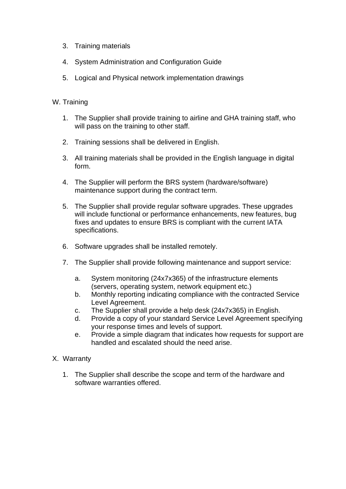- 3. Training materials
- 4. System Administration and Configuration Guide
- 5. Logical and Physical network implementation drawings

#### W. Training

- 1. The Supplier shall provide training to airline and GHA training staff, who will pass on the training to other staff.
- 2. Training sessions shall be delivered in English.
- 3. All training materials shall be provided in the English language in digital form.
- 4. The Supplier will perform the BRS system (hardware/software) maintenance support during the contract term.
- 5. The Supplier shall provide regular software upgrades. These upgrades will include functional or performance enhancements, new features, bug fixes and updates to ensure BRS is compliant with the current IATA specifications.
- 6. Software upgrades shall be installed remotely.
- 7. The Supplier shall provide following maintenance and support service:
	- a. System monitoring (24x7x365) of the infrastructure elements (servers, operating system, network equipment etc.)
	- b. Monthly reporting indicating compliance with the contracted Service Level Agreement.
	- c. The Supplier shall provide a help desk (24x7x365) in English.
	- d. Provide a copy of your standard Service Level Agreement specifying your response times and levels of support.
	- e. Provide a simple diagram that indicates how requests for support are handled and escalated should the need arise.
- X. Warranty
	- 1. The Supplier shall describe the scope and term of the hardware and software warranties offered.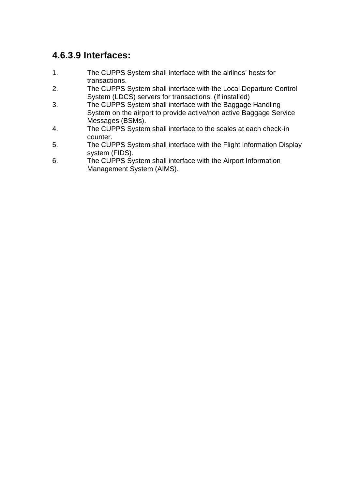### **4.6.3.9 Interfaces:**

- 1. The CUPPS System shall interface with the airlines' hosts for transactions.
- 2. The CUPPS System shall interface with the Local Departure Control System (LDCS) servers for transactions. (If installed)
- 3. The CUPPS System shall interface with the Baggage Handling System on the airport to provide active/non active Baggage Service Messages (BSMs).
- 4. The CUPPS System shall interface to the scales at each check-in counter.
- 5. The CUPPS System shall interface with the Flight Information Display system (FIDS).
- 6. The CUPPS System shall interface with the Airport Information Management System (AIMS).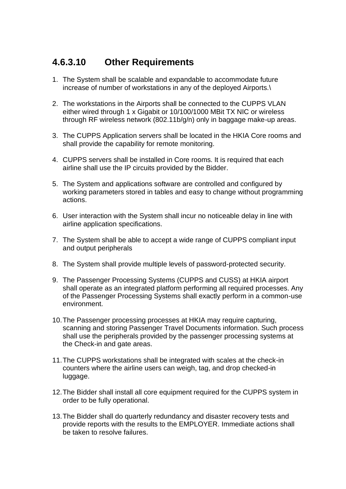### **4.6.3.10 Other Requirements**

- 1. The System shall be scalable and expandable to accommodate future increase of number of workstations in any of the deployed Airports.\
- 2. The workstations in the Airports shall be connected to the CUPPS VLAN either wired through 1 x Gigabit or 10/100/1000 MBit TX NIC or wireless through RF wireless network (802.11b/g/n) only in baggage make-up areas.
- 3. The CUPPS Application servers shall be located in the HKIA Core rooms and shall provide the capability for remote monitoring.
- 4. CUPPS servers shall be installed in Core rooms. It is required that each airline shall use the IP circuits provided by the Bidder.
- 5. The System and applications software are controlled and configured by working parameters stored in tables and easy to change without programming actions.
- 6. User interaction with the System shall incur no noticeable delay in line with airline application specifications.
- 7. The System shall be able to accept a wide range of CUPPS compliant input and output peripherals
- 8. The System shall provide multiple levels of password-protected security.
- 9. The Passenger Processing Systems (CUPPS and CUSS) at HKIA airport shall operate as an integrated platform performing all required processes. Any of the Passenger Processing Systems shall exactly perform in a common-use environment.
- 10.The Passenger processing processes at HKIA may require capturing, scanning and storing Passenger Travel Documents information. Such process shall use the peripherals provided by the passenger processing systems at the Check-in and gate areas.
- 11.The CUPPS workstations shall be integrated with scales at the check-in counters where the airline users can weigh, tag, and drop checked-in luggage.
- 12.The Bidder shall install all core equipment required for the CUPPS system in order to be fully operational.
- 13.The Bidder shall do quarterly redundancy and disaster recovery tests and provide reports with the results to the EMPLOYER. Immediate actions shall be taken to resolve failures.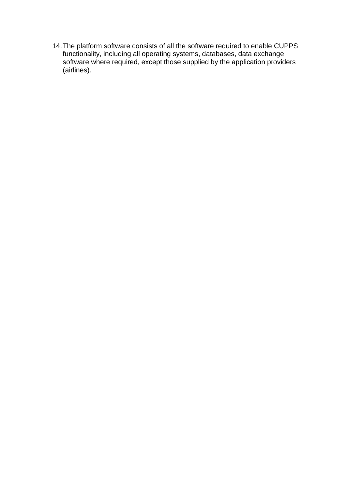14.The platform software consists of all the software required to enable CUPPS functionality, including all operating systems, databases, data exchange software where required, except those supplied by the application providers (airlines).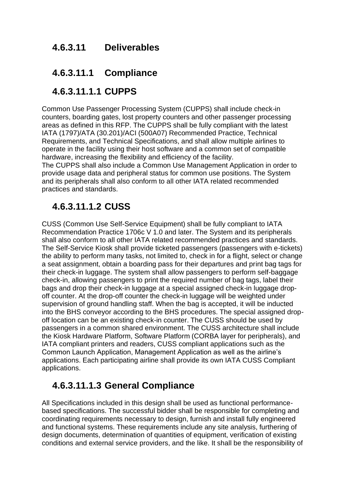#### **4.6.3.11 Deliverables**

#### **4.6.3.11.1 Compliance**

### **4.6.3.11.1.1 CUPPS**

Common Use Passenger Processing System (CUPPS) shall include check-in counters, boarding gates, lost property counters and other passenger processing areas as defined in this RFP. The CUPPS shall be fully compliant with the latest IATA (1797)/ATA (30.201)/ACI (500A07) Recommended Practice, Technical Requirements, and Technical Specifications, and shall allow multiple airlines to operate in the facility using their host software and a common set of compatible hardware, increasing the flexibility and efficiency of the facility.

The CUPPS shall also include a Common Use Management Application in order to provide usage data and peripheral status for common use positions. The System and its peripherals shall also conform to all other IATA related recommended practices and standards.

# **4.6.3.11.1.2 CUSS**

CUSS (Common Use Self-Service Equipment) shall be fully compliant to IATA Recommendation Practice 1706c V 1.0 and later. The System and its peripherals shall also conform to all other IATA related recommended practices and standards. The Self-Service Kiosk shall provide ticketed passengers (passengers with e-tickets) the ability to perform many tasks, not limited to, check in for a flight, select or change a seat assignment, obtain a boarding pass for their departures and print bag tags for their check-in luggage. The system shall allow passengers to perform self-baggage check-in, allowing passengers to print the required number of bag tags, label their bags and drop their check-in luggage at a special assigned check-in luggage dropoff counter. At the drop-off counter the check-in luggage will be weighted under supervision of ground handling staff. When the bag is accepted, it will be inducted into the BHS conveyor according to the BHS procedures. The special assigned dropoff location can be an existing check-in counter. The CUSS should be used by passengers in a common shared environment. The CUSS architecture shall include the Kiosk Hardware Platform, Software Platform (CORBA layer for peripherals), and IATA compliant printers and readers, CUSS compliant applications such as the Common Launch Application, Management Application as well as the airline's applications. Each participating airline shall provide its own IATA CUSS Compliant applications.

# **4.6.3.11.1.3 General Compliance**

All Specifications included in this design shall be used as functional performancebased specifications. The successful bidder shall be responsible for completing and coordinating requirements necessary to design, furnish and install fully engineered and functional systems. These requirements include any site analysis, furthering of design documents, determination of quantities of equipment, verification of existing conditions and external service providers, and the like. It shall be the responsibility of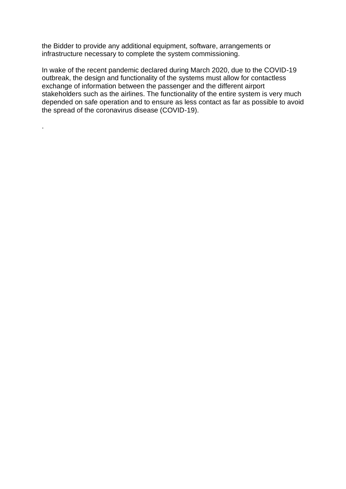the Bidder to provide any additional equipment, software, arrangements or infrastructure necessary to complete the system commissioning.

.

In wake of the recent pandemic declared during March 2020, due to the COVID-19 outbreak, the design and functionality of the systems must allow for contactless exchange of information between the passenger and the different airport stakeholders such as the airlines. The functionality of the entire system is very much depended on safe operation and to ensure as less contact as far as possible to avoid the spread of the coronavirus disease (COVID-19).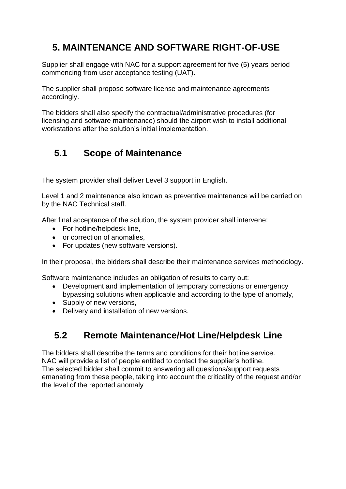# **5. MAINTENANCE AND SOFTWARE RIGHT-OF-USE**

Supplier shall engage with NAC for a support agreement for five (5) years period commencing from user acceptance testing (UAT).

The supplier shall propose software license and maintenance agreements accordingly.

The bidders shall also specify the contractual/administrative procedures (for licensing and software maintenance) should the airport wish to install additional workstations after the solution's initial implementation.

# **5.1 Scope of Maintenance**

The system provider shall deliver Level 3 support in English.

Level 1 and 2 maintenance also known as preventive maintenance will be carried on by the NAC Technical staff.

After final acceptance of the solution, the system provider shall intervene:

- For hotline/helpdesk line,
- or correction of anomalies,
- For updates (new software versions).

In their proposal, the bidders shall describe their maintenance services methodology.

Software maintenance includes an obligation of results to carry out:

- Development and implementation of temporary corrections or emergency bypassing solutions when applicable and according to the type of anomaly,
- Supply of new versions,
- Delivery and installation of new versions.

### **5.2 Remote Maintenance/Hot Line/Helpdesk Line**

The bidders shall describe the terms and conditions for their hotline service. NAC will provide a list of people entitled to contact the supplier's hotline. The selected bidder shall commit to answering all questions/support requests emanating from these people, taking into account the criticality of the request and/or the level of the reported anomaly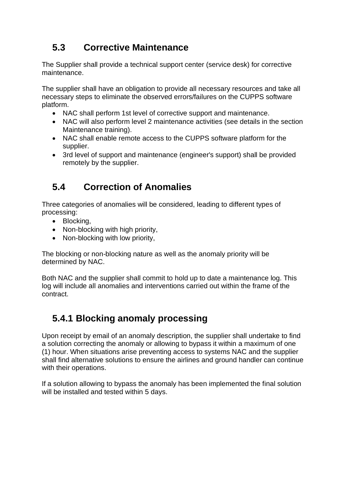# **5.3 Corrective Maintenance**

The Supplier shall provide a technical support center (service desk) for corrective maintenance.

The supplier shall have an obligation to provide all necessary resources and take all necessary steps to eliminate the observed errors/failures on the CUPPS software platform.

- NAC shall perform 1st level of corrective support and maintenance.
- NAC will also perform level 2 maintenance activities (see details in the section Maintenance training).
- NAC shall enable remote access to the CUPPS software platform for the supplier.
- 3rd level of support and maintenance (engineer's support) shall be provided remotely by the supplier.

# **5.4 Correction of Anomalies**

Three categories of anomalies will be considered, leading to different types of processing:

- Blocking,
- Non-blocking with high priority,
- Non-blocking with low priority,

The blocking or non-blocking nature as well as the anomaly priority will be determined by NAC.

Both NAC and the supplier shall commit to hold up to date a maintenance log. This log will include all anomalies and interventions carried out within the frame of the contract.

# **5.4.1 Blocking anomaly processing**

Upon receipt by email of an anomaly description, the supplier shall undertake to find a solution correcting the anomaly or allowing to bypass it within a maximum of one (1) hour. When situations arise preventing access to systems NAC and the supplier shall find alternative solutions to ensure the airlines and ground handler can continue with their operations.

If a solution allowing to bypass the anomaly has been implemented the final solution will be installed and tested within 5 days.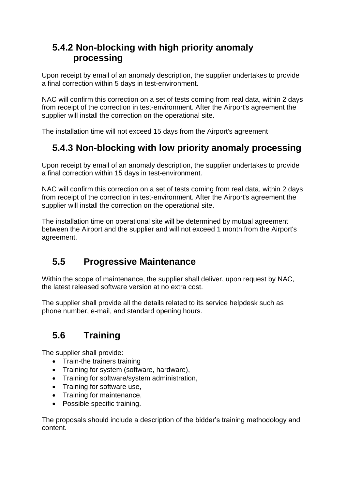# **5.4.2 Non-blocking with high priority anomaly processing**

Upon receipt by email of an anomaly description, the supplier undertakes to provide a final correction within 5 days in test-environment.

NAC will confirm this correction on a set of tests coming from real data, within 2 days from receipt of the correction in test-environment. After the Airport's agreement the supplier will install the correction on the operational site.

The installation time will not exceed 15 days from the Airport's agreement

# **5.4.3 Non-blocking with low priority anomaly processing**

Upon receipt by email of an anomaly description, the supplier undertakes to provide a final correction within 15 days in test-environment.

NAC will confirm this correction on a set of tests coming from real data, within 2 days from receipt of the correction in test-environment. After the Airport's agreement the supplier will install the correction on the operational site.

The installation time on operational site will be determined by mutual agreement between the Airport and the supplier and will not exceed 1 month from the Airport's agreement.

# **5.5 Progressive Maintenance**

Within the scope of maintenance, the supplier shall deliver, upon request by NAC, the latest released software version at no extra cost.

The supplier shall provide all the details related to its service helpdesk such as phone number, e-mail, and standard opening hours.

# **5.6 Training**

The supplier shall provide:

- Train-the trainers training
- Training for system (software, hardware),
- Training for software/system administration,
- Training for software use,
- Training for maintenance,
- Possible specific training.

The proposals should include a description of the bidder's training methodology and content.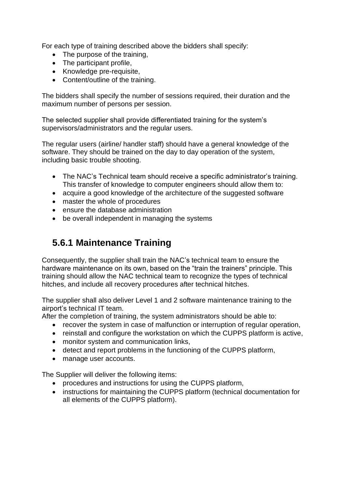For each type of training described above the bidders shall specify:

- The purpose of the training,
- The participant profile,
- Knowledge pre-requisite.
- Content/outline of the training.

The bidders shall specify the number of sessions required, their duration and the maximum number of persons per session.

The selected supplier shall provide differentiated training for the system's supervisors/administrators and the regular users.

The regular users (airline/ handler staff) should have a general knowledge of the software. They should be trained on the day to day operation of the system, including basic trouble shooting.

- The NAC's Technical team should receive a specific administrator's training. This transfer of knowledge to computer engineers should allow them to:
- acquire a good knowledge of the architecture of the suggested software
- master the whole of procedures
- ensure the database administration
- be overall independent in managing the systems

# **5.6.1 Maintenance Training**

Consequently, the supplier shall train the NAC's technical team to ensure the hardware maintenance on its own, based on the "train the trainers" principle. This training should allow the NAC technical team to recognize the types of technical hitches, and include all recovery procedures after technical hitches.

The supplier shall also deliver Level 1 and 2 software maintenance training to the airport's technical IT team.

After the completion of training, the system administrators should be able to:

- recover the system in case of malfunction or interruption of regular operation,
- reinstall and configure the workstation on which the CUPPS platform is active,
- monitor system and communication links.
- detect and report problems in the functioning of the CUPPS platform,
- manage user accounts.

The Supplier will deliver the following items:

- procedures and instructions for using the CUPPS platform,
- instructions for maintaining the CUPPS platform (technical documentation for all elements of the CUPPS platform).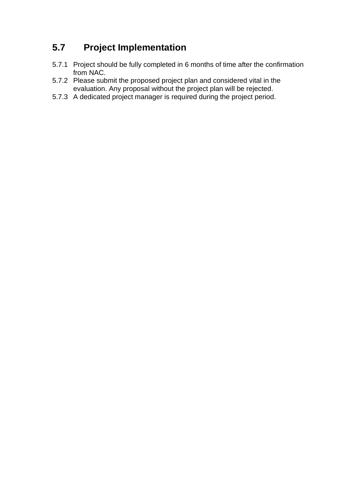# **5.7 Project Implementation**

- 5.7.1 Project should be fully completed in 6 months of time after the confirmation from NAC.
- 5.7.2 Please submit the proposed project plan and considered vital in the evaluation. Any proposal without the project plan will be rejected.
- 5.7.3 A dedicated project manager is required during the project period.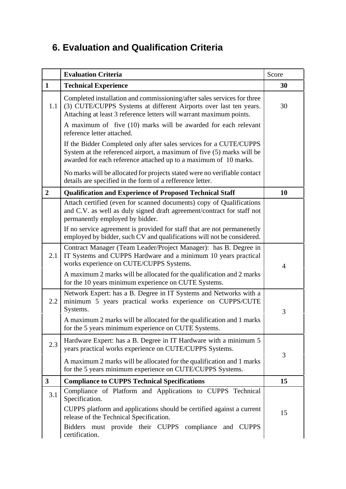# **6. Evaluation and Qualification Criteria**

|                         | <b>Evaluation Criteria</b>                                                                                                                                                                                                                                                            | Score |
|-------------------------|---------------------------------------------------------------------------------------------------------------------------------------------------------------------------------------------------------------------------------------------------------------------------------------|-------|
| $\mathbf{1}$            | <b>Technical Experience</b>                                                                                                                                                                                                                                                           | 30    |
| 1.1                     | Completed installation and commissioning/after sales services for three<br>(3) CUTE/CUPPS Systems at different Airports over last ten years.<br>Attaching at least 3 reference letters will warrant maximum points.<br>A maximum of five (10) marks will be awarded for each relevant | 30    |
|                         | reference letter attached.                                                                                                                                                                                                                                                            |       |
|                         | If the Bidder Completed only after sales services for a CUTE/CUPPS<br>System at the referenced airport, a maximum of five (5) marks will be<br>awarded for each reference attached up to a maximum of 10 marks.                                                                       |       |
|                         | No marks will be allocated for projects stated were no verifiable contact<br>details are specified in the form of a refference letter.                                                                                                                                                |       |
| $\boldsymbol{2}$        | <b>Qualification and Experience of Proposed Technical Staff</b>                                                                                                                                                                                                                       | 10    |
|                         | Attach certified (even for scanned documents) copy of Qualifications<br>and C.V. as well as duly signed draft agreement/contract for staff not<br>permanently employed by bidder.                                                                                                     |       |
|                         | If no service agreement is provided for staff that are not permanenetly<br>employed by bidder, such CV and qualifications will not be considered.                                                                                                                                     |       |
| 2.1                     | Contract Manager (Team Leader/Project Manager): has B. Degree in<br>IT Systems and CUPPS Hardware and a minimum 10 years practical<br>works experience on CUTE/CUPPS Systems.                                                                                                         | 4     |
|                         | A maximum 2 marks will be allocated for the qualification and 2 marks<br>for the 10 years minimum experience on CUTE Systems.                                                                                                                                                         |       |
| 2.2                     | Network Expert: has a B. Degree in IT Systems and Networks with a<br>minimum 5 years practical works experience on CUPPS/CUTE<br>Systems.                                                                                                                                             | 3     |
|                         | A maximum 2 marks will be allocated for the qualification and 1 marks<br>for the 5 years minimum experience on CUTE Systems.                                                                                                                                                          |       |
| 2.3                     | Hardware Expert: has a B. Degree in IT Hardware with a minimum 5<br>years practical works experience on CUTE/CUPPS Systems.                                                                                                                                                           | 3     |
|                         | A maximum 2 marks will be allocated for the qualification and 1 marks<br>for the 5 years minimum experience on CUTE/CUPPS Systems.                                                                                                                                                    |       |
| $\overline{\mathbf{3}}$ | <b>Compliance to CUPPS Technical Specifications</b>                                                                                                                                                                                                                                   | 15    |
| 3.1                     | Compliance of Platform and Applications to CUPPS Technical<br>Specification.                                                                                                                                                                                                          |       |
|                         | CUPPS platform and applications should be certified against a current<br>release of the Technical Specification.                                                                                                                                                                      | 15    |
|                         | Bidders must provide their CUPPS compliance and CUPPS<br>certification.                                                                                                                                                                                                               |       |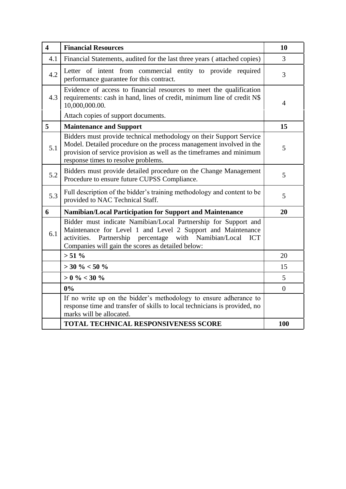| $\overline{\mathbf{4}}$ | <b>Financial Resources</b>                                                                                                                                                                                                                                  | 10             |
|-------------------------|-------------------------------------------------------------------------------------------------------------------------------------------------------------------------------------------------------------------------------------------------------------|----------------|
| 4.1                     | Financial Statements, audited for the last three years (attached copies)                                                                                                                                                                                    | $\overline{3}$ |
| 4.2                     | Letter of intent from commercial entity to provide required<br>performance guarantee for this contract.                                                                                                                                                     | $\overline{3}$ |
| 4.3                     | Evidence of access to financial resources to meet the qualification<br>requirements: cash in hand, lines of credit, minimum line of credit N\$<br>10,000,000.00.                                                                                            | 4              |
|                         | Attach copies of support documents.                                                                                                                                                                                                                         |                |
| 5                       | <b>Maintenance and Support</b>                                                                                                                                                                                                                              | 15             |
| 5.1                     | Bidders must provide technical methodology on their Support Service<br>Model. Detailed procedure on the process management involved in the<br>provision of service provision as well as the timeframes and minimum<br>response times to resolve problems.   | 5              |
| 5.2                     | Bidders must provide detailed procedure on the Change Management<br>Procedure to ensure future CUPSS Compliance.                                                                                                                                            | 5              |
| 5.3                     | Full description of the bidder's training methodology and content to be<br>provided to NAC Technical Staff.                                                                                                                                                 | 5              |
| 6                       | Namibian/Local Participation for Support and Maintenance                                                                                                                                                                                                    | 20             |
| 6.1                     | Bidder must indicate Namibian/Local Partnership for Support and<br>Maintenance for Level 1 and Level 2 Support and Maintenance<br>activities. Partnership percentage with Namibian/Local<br><b>ICT</b><br>Companies will gain the scores as detailed below: |                |
|                         | $> 51 \%$                                                                                                                                                                                                                                                   | 20             |
|                         | $>$ 30 % $<$ 50 %                                                                                                                                                                                                                                           | 15             |
|                         | $> 0$ % $< 30$ %                                                                                                                                                                                                                                            | 5 <sup>5</sup> |
|                         | $0\%$                                                                                                                                                                                                                                                       | $\overline{0}$ |
|                         | If no write up on the bidder's methodology to ensure adherance to<br>response time and transfer of skills to local technicians is provided, no<br>marks will be allocated.                                                                                  |                |
|                         | <b>TOTAL TECHNICAL RESPONSIVENESS SCORE</b>                                                                                                                                                                                                                 | <b>100</b>     |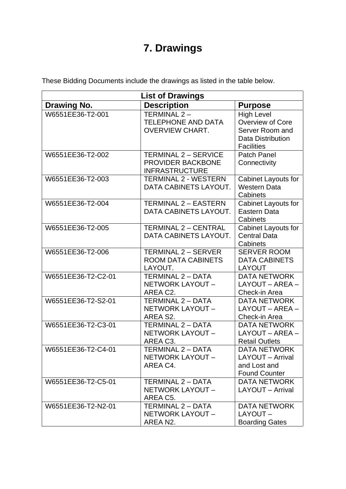# **7. Drawings**

These Bidding Documents include the drawings as listed in the table below.

| <b>List of Drawings</b> |                                                                           |                                                                                                           |  |
|-------------------------|---------------------------------------------------------------------------|-----------------------------------------------------------------------------------------------------------|--|
| <b>Drawing No.</b>      | <b>Description</b>                                                        | <b>Purpose</b>                                                                                            |  |
| W6551EE36-T2-001        | TERMINAL 2-<br><b>TELEPHONE AND DATA</b><br><b>OVERVIEW CHART.</b>        | <b>High Level</b><br>Overview of Core<br>Server Room and<br><b>Data Distribution</b><br><b>Facilities</b> |  |
| W6551EE36-T2-002        | <b>TERMINAL 2 - SERVICE</b><br>PROVIDER BACKBONE<br><b>INFRASTRUCTURE</b> | <b>Patch Panel</b><br>Connectivity                                                                        |  |
| W6551EE36-T2-003        | <b>TERMINAL 2 - WESTERN</b><br>DATA CABINETS LAYOUT.                      | Cabinet Layouts for<br><b>Western Data</b><br>Cabinets                                                    |  |
| W6551EE36-T2-004        | <b>TERMINAL 2 - EASTERN</b><br>DATA CABINETS LAYOUT.                      | Cabinet Layouts for<br>Eastern Data<br>Cabinets                                                           |  |
| W6551EE36-T2-005        | <b>TERMINAL 2 - CENTRAL</b><br>DATA CABINETS LAYOUT.                      | Cabinet Layouts for<br><b>Central Data</b><br>Cabinets                                                    |  |
| W6551EE36-T2-006        | TERMINAL 2 - SERVER<br><b>ROOM DATA CABINETS</b><br>LAYOUT.               | <b>SERVER ROOM</b><br><b>DATA CABINETS</b><br><b>LAYOUT</b>                                               |  |
| W6551EE36-T2-C2-01      | TERMINAL 2 - DATA<br>NETWORK LAYOUT -<br>AREA C2.                         | <b>DATA NETWORK</b><br>LAYOUT - AREA -<br>Check-in Area                                                   |  |
| W6551EE36-T2-S2-01      | <b>TERMINAL 2 - DATA</b><br>NETWORK LAYOUT -<br>AREA S2.                  | <b>DATA NETWORK</b><br>LAYOUT - AREA -<br>Check-in Area                                                   |  |
| W6551EE36-T2-C3-01      | <b>TERMINAL 2 - DATA</b><br>NETWORK LAYOUT -<br>AREA C3.                  | <b>DATA NETWORK</b><br>LAYOUT - AREA -<br><b>Retail Outlets</b>                                           |  |
| W6551EE36-T2-C4-01      | <b>TERMINAL 2 - DATA</b><br>NETWORK LAYOUT -<br>AREA C4.                  | <b>DATA NETWORK</b><br>LAYOUT - Arrival<br>and Lost and<br><b>Found Counter</b>                           |  |
| W6551EE36-T2-C5-01      | TERMINAL 2 - DATA<br>NETWORK LAYOUT -<br>AREA C5.                         | <b>DATA NETWORK</b><br>LAYOUT - Arrival                                                                   |  |
| W6551EE36-T2-N2-01      | TERMINAL 2 - DATA<br>NETWORK LAYOUT -<br>AREA N2.                         | <b>DATA NETWORK</b><br>LAYOUT-<br><b>Boarding Gates</b>                                                   |  |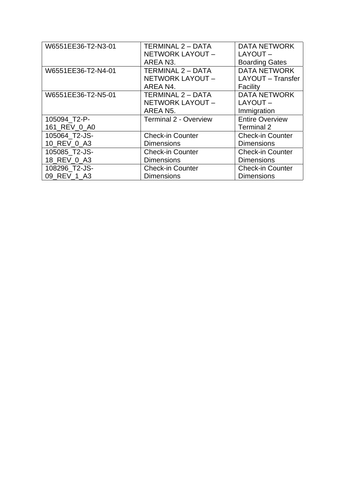| W6551EE36-T2-N3-01 | TERMINAL 2 - DATA            | <b>DATA NETWORK</b>     |
|--------------------|------------------------------|-------------------------|
|                    | NETWORK LAYOUT -             | LAYOUT-                 |
|                    | AREA N3.                     | <b>Boarding Gates</b>   |
| W6551EE36-T2-N4-01 | TERMINAL 2 - DATA            | <b>DATA NETWORK</b>     |
|                    | NETWORK LAYOUT -             | LAYOUT - Transfer       |
|                    | AREA N4.                     | Facility                |
| W6551EE36-T2-N5-01 | TERMINAL 2 - DATA            | <b>DATA NETWORK</b>     |
|                    | NETWORK LAYOUT -             | LAYOUT-                 |
|                    | AREA N5.                     | Immigration             |
| 105094 T2-P-       | <b>Terminal 2 - Overview</b> | <b>Entire Overview</b>  |
| 161 REV 0 A0       |                              | <b>Terminal 2</b>       |
| 105064 T2-JS-      | <b>Check-in Counter</b>      | <b>Check-in Counter</b> |
| 10_REV_0_A3        | <b>Dimensions</b>            | <b>Dimensions</b>       |
| 105085_T2-JS-      | <b>Check-in Counter</b>      | <b>Check-in Counter</b> |
| 18_REV_0_A3        | <b>Dimensions</b>            | <b>Dimensions</b>       |
| 108296_T2-JS-      | <b>Check-in Counter</b>      | <b>Check-in Counter</b> |
| 09 REV 1 A3        | <b>Dimensions</b>            | <b>Dimensions</b>       |